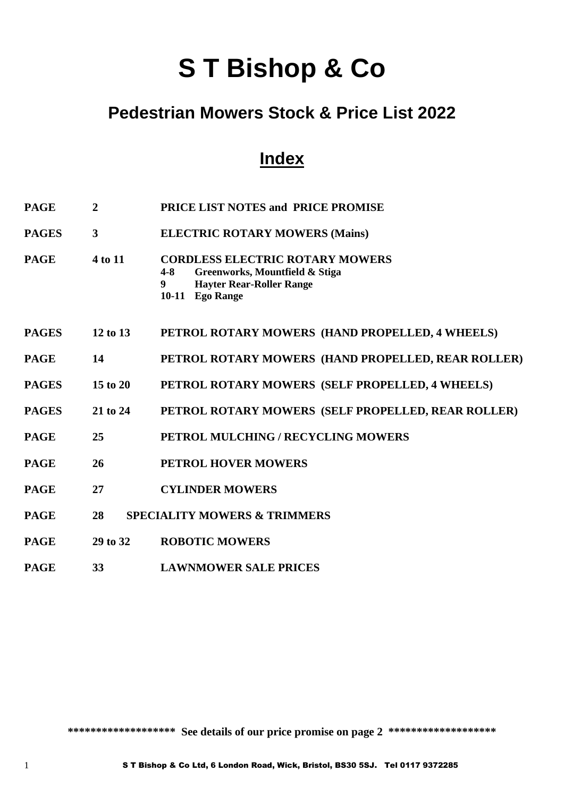# **S T Bishop & Co**

## **Pedestrian Mowers Stock & Price List 2022**

## **Index**

| <b>PAGE</b>  | $\overline{2}$ | PRICE LIST NOTES and PRICE PROMISE                                                                                                                           |
|--------------|----------------|--------------------------------------------------------------------------------------------------------------------------------------------------------------|
| <b>PAGES</b> | $\mathbf{3}$   | <b>ELECTRIC ROTARY MOWERS (Mains)</b>                                                                                                                        |
| <b>PAGE</b>  | 4 to 11        | <b>CORDLESS ELECTRIC ROTARY MOWERS</b><br>Greenworks, Mountfield & Stiga<br>$4 - 8$<br><b>Hayter Rear-Roller Range</b><br>9<br><b>Ego Range</b><br>$10 - 11$ |
| <b>PAGES</b> | 12 to 13       | PETROL ROTARY MOWERS (HAND PROPELLED, 4 WHEELS)                                                                                                              |
| <b>PAGE</b>  | 14             | PETROL ROTARY MOWERS (HAND PROPELLED, REAR ROLLER)                                                                                                           |
| <b>PAGES</b> | $15$ to $20$   | PETROL ROTARY MOWERS (SELF PROPELLED, 4 WHEELS)                                                                                                              |
| <b>PAGES</b> | 21 to 24       | PETROL ROTARY MOWERS (SELF PROPELLED, REAR ROLLER)                                                                                                           |
| <b>PAGE</b>  | 25             | PETROL MULCHING / RECYCLING MOWERS                                                                                                                           |
| <b>PAGE</b>  | 26             | <b>PETROL HOVER MOWERS</b>                                                                                                                                   |
| <b>PAGE</b>  | 27             | <b>CYLINDER MOWERS</b>                                                                                                                                       |
| <b>PAGE</b>  | 28             | <b>SPECIALITY MOWERS &amp; TRIMMERS</b>                                                                                                                      |
| <b>PAGE</b>  | 29 to 32       | <b>ROBOTIC MOWERS</b>                                                                                                                                        |
| <b>PAGE</b>  | 33             | <b>LAWNMOWER SALE PRICES</b>                                                                                                                                 |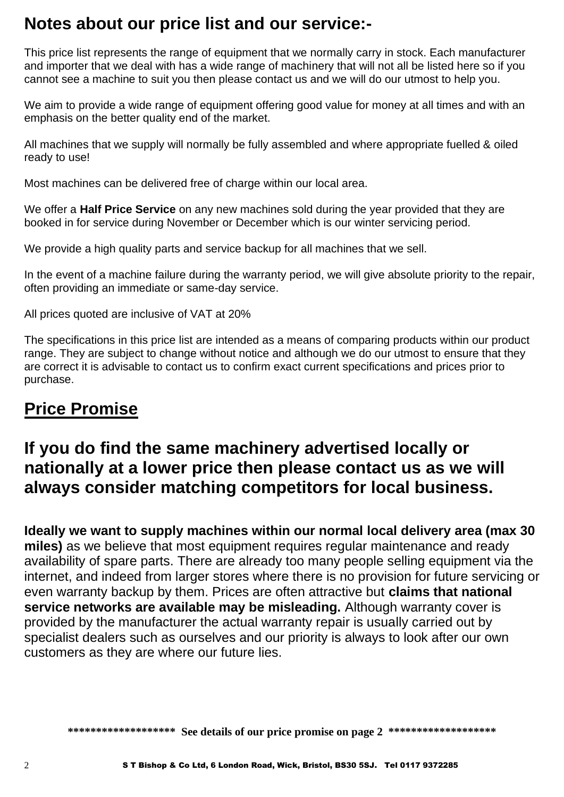## **Notes about our price list and our service:-**

This price list represents the range of equipment that we normally carry in stock. Each manufacturer and importer that we deal with has a wide range of machinery that will not all be listed here so if you cannot see a machine to suit you then please contact us and we will do our utmost to help you.

We aim to provide a wide range of equipment offering good value for money at all times and with an emphasis on the better quality end of the market.

All machines that we supply will normally be fully assembled and where appropriate fuelled & oiled ready to use!

Most machines can be delivered free of charge within our local area.

We offer a **Half Price Service** on any new machines sold during the year provided that they are booked in for service during November or December which is our winter servicing period.

We provide a high quality parts and service backup for all machines that we sell.

In the event of a machine failure during the warranty period, we will give absolute priority to the repair, often providing an immediate or same-day service.

All prices quoted are inclusive of VAT at 20%

The specifications in this price list are intended as a means of comparing products within our product range. They are subject to change without notice and although we do our utmost to ensure that they are correct it is advisable to contact us to confirm exact current specifications and prices prior to purchase.

## **Price Promise**

## **If you do find the same machinery advertised locally or nationally at a lower price then please contact us as we will always consider matching competitors for local business.**

**Ideally we want to supply machines within our normal local delivery area (max 30 miles)** as we believe that most equipment requires regular maintenance and ready availability of spare parts. There are already too many people selling equipment via the internet, and indeed from larger stores where there is no provision for future servicing or even warranty backup by them. Prices are often attractive but **claims that national service networks are available may be misleading.** Although warranty cover is provided by the manufacturer the actual warranty repair is usually carried out by specialist dealers such as ourselves and our priority is always to look after our own customers as they are where our future lies.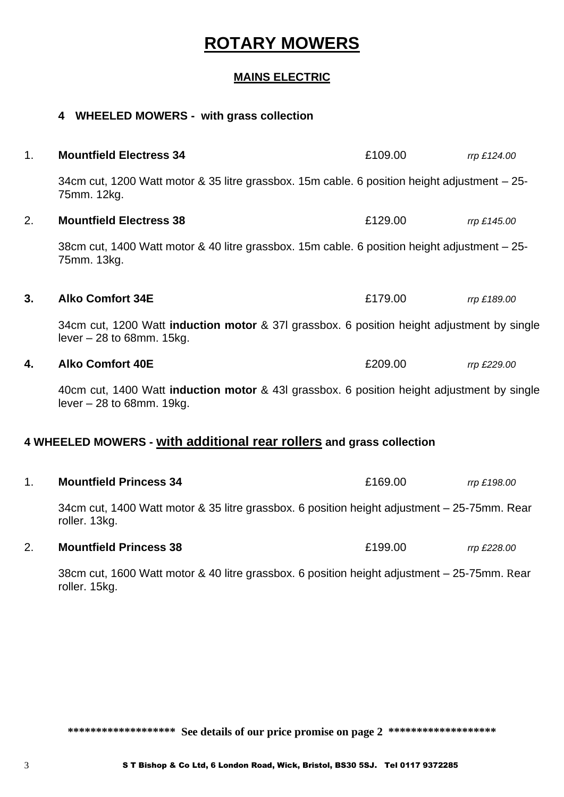## **ROTARY MOWERS**

#### **MAINS ELECTRIC**

# **4 WHEELED MOWERS - with grass collection** 1. **Mountfield Electress 34** £109.00 *rrp £124.00* 34cm cut, 1200 Watt motor & 35 litre grassbox. 15m cable. 6 position height adjustment – 25- 75mm. 12kg. 2. **Mountfield Electress 38** £129.00 *rrp £145.00* 38cm cut, 1400 Watt motor & 40 litre grassbox. 15m cable. 6 position height adjustment – 25- 75mm. 13kg. **3. Alko Comfort 34E** £179.00 *rrp £189.00* 34cm cut, 1200 Watt **induction motor** & 37l grassbox. 6 position height adjustment by single  $lever - 28$  to 68mm. 15 $kg$ . **4. Alko Comfort 40E** £209.00 *rrp £229.00* 40cm cut, 1400 Watt **induction motor** & 43l grassbox. 6 position height adjustment by single lever – 28 to 68mm. 19kg. **4 WHEELED MOWERS - with additional rear rollers and grass collection** 1. **Mountfield Princess 34** £169.00 *rrp £198.00* 34cm cut, 1400 Watt motor & 35 litre grassbox. 6 position height adjustment – 25-75mm. Rear roller. 13kg. 2. **Mountfield Princess 38** £199.00 *rrp £228.00*

38cm cut, 1600 Watt motor & 40 litre grassbox. 6 position height adjustment – 25-75mm. Rear roller. 15kg.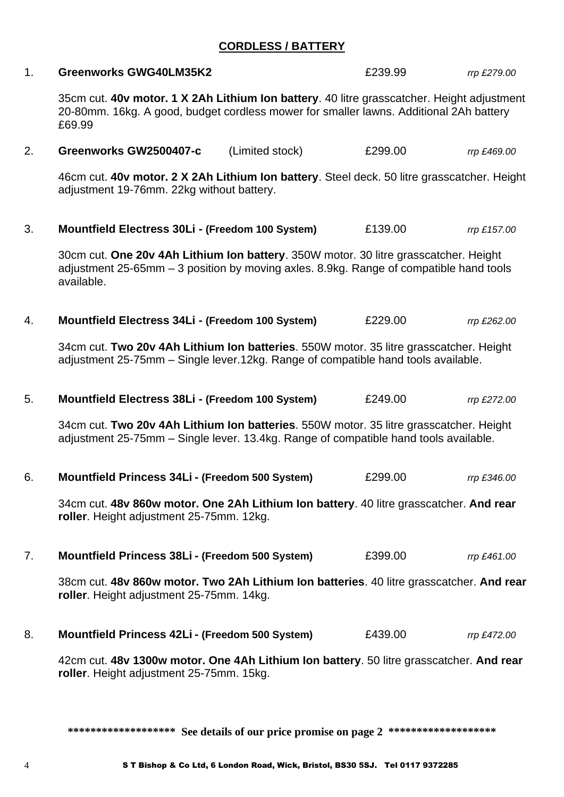#### **CORDLESS / BATTERY**

| 1. | <b>Greenworks GWG40LM35K2</b>                                                                                                                                                                  | £239.99 | rrp £279.00 |
|----|------------------------------------------------------------------------------------------------------------------------------------------------------------------------------------------------|---------|-------------|
|    | 35cm cut. 40v motor. 1 X 2Ah Lithium Ion battery. 40 litre grasscatcher. Height adjustment<br>20-80mm. 16kg. A good, budget cordless mower for smaller lawns. Additional 2Ah battery<br>£69.99 |         |             |
| 2. | Greenworks GW2500407-c<br>(Limited stock)                                                                                                                                                      | £299.00 | rrp £469.00 |
|    | 46cm cut. 40v motor. 2 X 2Ah Lithium Ion battery. Steel deck. 50 litre grasscatcher. Height<br>adjustment 19-76mm. 22kg without battery.                                                       |         |             |
| 3. | Mountfield Electress 30Li - (Freedom 100 System)                                                                                                                                               | £139.00 | rrp £157.00 |
|    | 30cm cut. One 20v 4Ah Lithium Ion battery. 350W motor. 30 litre grasscatcher. Height<br>adjustment 25-65mm - 3 position by moving axles. 8.9kg. Range of compatible hand tools<br>available.   |         |             |
| 4. | Mountfield Electress 34Li - (Freedom 100 System)                                                                                                                                               | £229.00 | rrp £262.00 |
|    | 34cm cut. Two 20v 4Ah Lithium Ion batteries. 550W motor. 35 litre grasscatcher. Height<br>adjustment 25-75mm - Single lever.12kg. Range of compatible hand tools available.                    |         |             |
| 5. | Mountfield Electress 38Li - (Freedom 100 System)                                                                                                                                               | £249.00 | rrp £272.00 |
|    | 34cm cut. Two 20v 4Ah Lithium Ion batteries. 550W motor. 35 litre grasscatcher. Height<br>adjustment 25-75mm – Single lever. 13.4kg. Range of compatible hand tools available.                 |         |             |
| 6. | Mountfield Princess 34Li - (Freedom 500 System)                                                                                                                                                | £299.00 | rrp £346.00 |
|    | 34cm cut. 48v 860w motor. One 2Ah Lithium Ion battery. 40 litre grasscatcher. And rear<br>roller. Height adjustment 25-75mm. 12kg.                                                             |         |             |
| 7. | Mountfield Princess 38Li - (Freedom 500 System)                                                                                                                                                | £399.00 | rrp £461.00 |
|    | 38cm cut. 48v 860w motor. Two 2Ah Lithium Ion batteries. 40 litre grasscatcher. And rear<br>roller. Height adjustment 25-75mm. 14kg.                                                           |         |             |
| 8. | Mountfield Princess 42Li - (Freedom 500 System)                                                                                                                                                | £439.00 | rrp £472.00 |
|    | 42cm cut. 48v 1300w motor. One 4Ah Lithium Ion battery. 50 litre grasscatcher. And rear<br>roller. Height adjustment 25-75mm. 15kg.                                                            |         |             |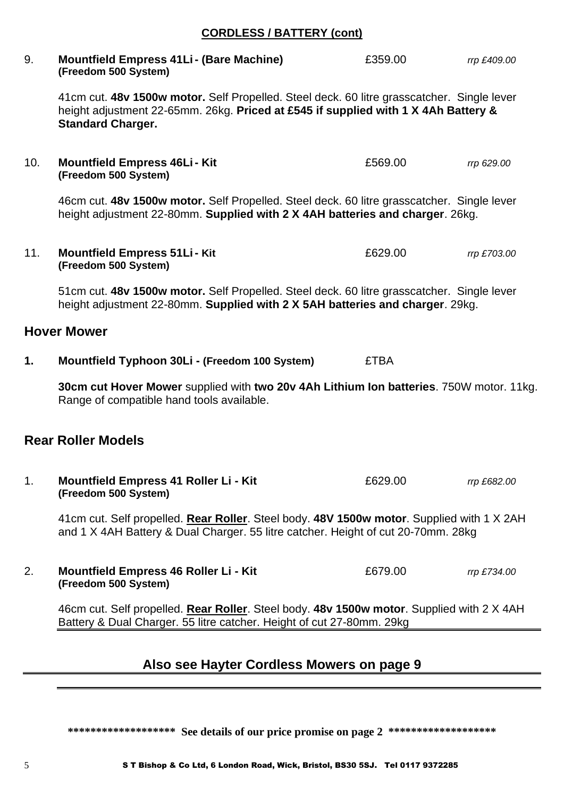#### **CORDLESS / BATTERY (cont)**

9. **Mountfield Empress 41Li- (Bare Machine)** £359.00 *rrp £409.00* **(Freedom 500 System)**

41cm cut. **48v 1500w motor.** Self Propelled. Steel deck. 60 litre grasscatcher. Single lever height adjustment 22-65mm. 26kg. **Priced at £545 if supplied with 1 X 4Ah Battery & Standard Charger.**

10. **Mountfield Empress 46Li- Kit** £569.00 *rrp 629.00* **(Freedom 500 System)**

46cm cut. **48v 1500w motor.** Self Propelled. Steel deck. 60 litre grasscatcher. Single lever height adjustment 22-80mm. **Supplied with 2 X 4AH batteries and charger**. 26kg.

11. **Mountfield Empress 51Li- Kit** £629.00 *rrp £703.00* **(Freedom 500 System)**

51cm cut. **48v 1500w motor.** Self Propelled. Steel deck. 60 litre grasscatcher. Single lever height adjustment 22-80mm. **Supplied with 2 X 5AH batteries and charger**. 29kg.

#### **Hover Mower**

**1. Mountfield Typhoon 30Li - (Freedom 100 System)** £TBA

**30cm cut Hover Mower** supplied with **two 20v 4Ah Lithium Ion batteries**. 750W motor. 11kg. Range of compatible hand tools available.

#### **Rear Roller Models**

1. **Mountfield Empress 41 Roller Li - Kit** £629.00 *rrp £682.00* **(Freedom 500 System)**

41cm cut. Self propelled. **Rear Roller**. Steel body. **48V 1500w motor**. Supplied with 1 X 2AH and 1 X 4AH Battery & Dual Charger. 55 litre catcher. Height of cut 20-70mm. 28kg

2. **Mountfield Empress 46 Roller Li - Kit** £679.00 *rrp £734.00* **(Freedom 500 System)**

46cm cut. Self propelled. **Rear Roller**. Steel body. **48v 1500w motor**. Supplied with 2 X 4AH Battery & Dual Charger. 55 litre catcher. Height of cut 27-80mm. 29kg

#### **Also see Hayter Cordless Mowers on page 9**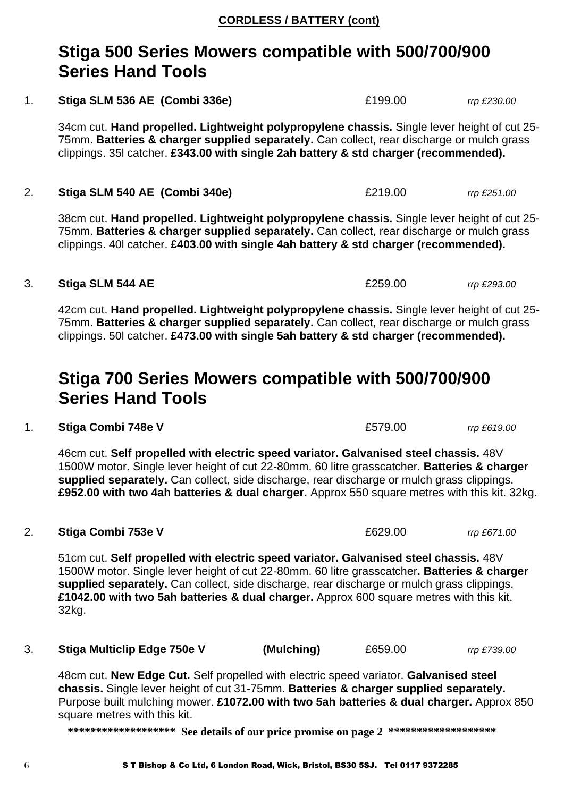## **Stiga 500 Series Mowers compatible with 500/700/900 Series Hand Tools**

1. **Stiga SLM 536 AE (Combi 336e)** £199.00 *rrp £230.00*

34cm cut. **Hand propelled. Lightweight polypropylene chassis.** Single lever height of cut 25- 75mm. **Batteries & charger supplied separately.** Can collect, rear discharge or mulch grass clippings. 35l catcher. **£343.00 with single 2ah battery & std charger (recommended).**

2. **Stiga SLM 540 AE (Combi 340e)** £219.00 *rrp £251.00*

38cm cut. **Hand propelled. Lightweight polypropylene chassis.** Single lever height of cut 25- 75mm. **Batteries & charger supplied separately.** Can collect, rear discharge or mulch grass clippings. 40l catcher. **£403.00 with single 4ah battery & std charger (recommended).**

#### 3. **Stiga SLM 544 AE** £259.00 *rrp £293.00*

42cm cut. **Hand propelled. Lightweight polypropylene chassis.** Single lever height of cut 25- 75mm. **Batteries & charger supplied separately.** Can collect, rear discharge or mulch grass clippings. 50l catcher. **£473.00 with single 5ah battery & std charger (recommended).**

## **Stiga 700 Series Mowers compatible with 500/700/900 Series Hand Tools**

1. **Stiga Combi 748e V** £579.00 *rrp £619.00*

46cm cut. **Self propelled with electric speed variator. Galvanised steel chassis.** 48V 1500W motor. Single lever height of cut 22-80mm. 60 litre grasscatcher. **Batteries & charger supplied separately.** Can collect, side discharge, rear discharge or mulch grass clippings. **£952.00 with two 4ah batteries & dual charger.** Approx 550 square metres with this kit. 32kg.

2. **Stiga Combi 753e V** £629.00 *rrp £671.00*

51cm cut. **Self propelled with electric speed variator. Galvanised steel chassis.** 48V 1500W motor. Single lever height of cut 22-80mm. 60 litre grasscatcher**. Batteries & charger supplied separately.** Can collect, side discharge, rear discharge or mulch grass clippings. **£1042.00 with two 5ah batteries & dual charger.** Approx 600 square metres with this kit. 32kg.

3. **Stiga Multiclip Edge 750e V (Mulching)** £659.00 *rrp £739.00*

48cm cut. **New Edge Cut.** Self propelled with electric speed variator. **Galvanised steel chassis.** Single lever height of cut 31-75mm. **Batteries & charger supplied separately.**  Purpose built mulching mower. **£1072.00 with two 5ah batteries & dual charger.** Approx 850 square metres with this kit.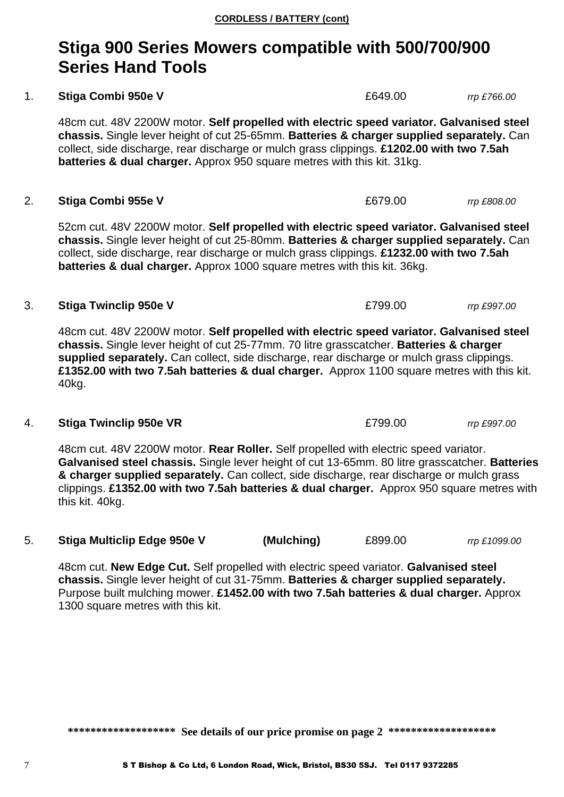## **Stiga 900 Series Mowers compatible with 500/700/900 Series Hand Tools**

#### 1. **Stiga Combi 950e V** *COMBI 950e V* **<b>EG49.00** *rrp £766.00 COMBI 950e V*

48cm cut. 48V 2200W motor. **Self propelled with electric speed variator. Galvanised steel chassis.** Single lever height of cut 25-65mm. **Batteries & charger supplied separately.** Can collect, side discharge, rear discharge or mulch grass clippings. **£1202.00 with two 7.5ah batteries & dual charger.** Approx 950 square metres with this kit. 31kg.

#### 2. **Stiga Combi 955e V** £679.00 *rrp £808.00*

52cm cut. 48V 2200W motor. **Self propelled with electric speed variator. Galvanised steel chassis.** Single lever height of cut 25-80mm. **Batteries & charger supplied separately.** Can collect, side discharge, rear discharge or mulch grass clippings. **£1232.00 with two 7.5ah batteries & dual charger.** Approx 1000 square metres with this kit. 36kg.

#### 3. **Stiga Twinclip 950e V** £799.00 *rrp £997.00*

48cm cut. 48V 2200W motor. **Self propelled with electric speed variator. Galvanised steel chassis.** Single lever height of cut 25-77mm. 70 litre grasscatcher. **Batteries & charger supplied separately.** Can collect, side discharge, rear discharge or mulch grass clippings. **£1352.00 with two 7.5ah batteries & dual charger.** Approx 1100 square metres with this kit. 40kg.

#### 4. **Stiga Twinclip 950e VR** £799.00 *rrp £997.00*

48cm cut. 48V 2200W motor. **Rear Roller.** Self propelled with electric speed variator. **Galvanised steel chassis.** Single lever height of cut 13-65mm. 80 litre grasscatcher. **Batteries & charger supplied separately.** Can collect, side discharge, rear discharge or mulch grass clippings. **£1352.00 with two 7.5ah batteries & dual charger.** Approx 950 square metres with this kit. 40kg.

5. **Stiga Multiclip Edge 950e V (Mulching)** £899.00 *rrp £1099.00*

48cm cut. **New Edge Cut.** Self propelled with electric speed variator. **Galvanised steel chassis.** Single lever height of cut 31-75mm. **Batteries & charger supplied separately.**  Purpose built mulching mower. **£1452.00 with two 7.5ah batteries & dual charger.** Approx 1300 square metres with this kit.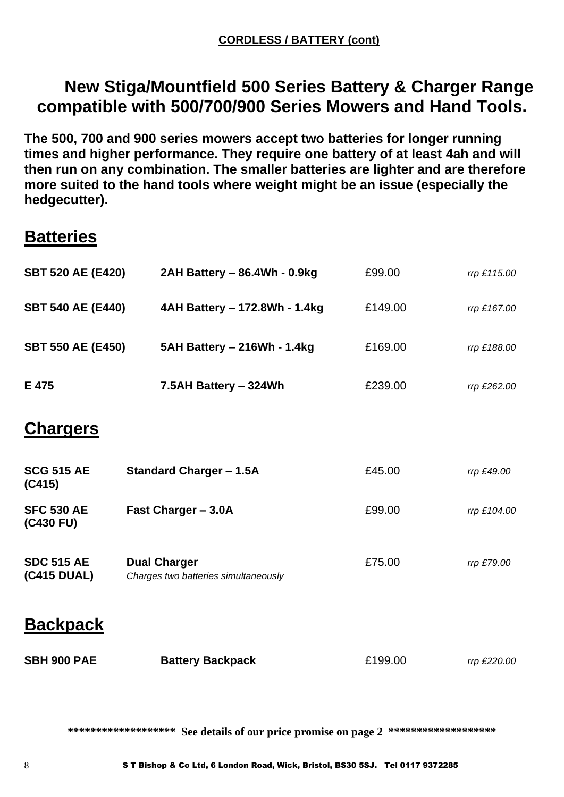## **New Stiga/Mountfield 500 Series Battery & Charger Range compatible with 500/700/900 Series Mowers and Hand Tools.**

**The 500, 700 and 900 series mowers accept two batteries for longer running times and higher performance. They require one battery of at least 4ah and will then run on any combination. The smaller batteries are lighter and are therefore more suited to the hand tools where weight might be an issue (especially the hedgecutter).**

## **Batteries**

| <b>SBT 520 AE (E420)</b>         | 2AH Battery - 86.4Wh - 0.9kg                                | £99.00  | rrp £115.00 |
|----------------------------------|-------------------------------------------------------------|---------|-------------|
| <b>SBT 540 AE (E440)</b>         | 4AH Battery - 172.8Wh - 1.4kg                               | £149.00 | rrp £167.00 |
| <b>SBT 550 AE (E450)</b>         | 5AH Battery - 216Wh - 1.4kg                                 | £169.00 | rrp £188.00 |
| E 475                            | 7.5AH Battery - 324Wh                                       | £239.00 | rrp £262.00 |
| <b>Chargers</b>                  |                                                             |         |             |
| <b>SCG 515 AE</b><br>(C415)      | <b>Standard Charger - 1.5A</b>                              | £45.00  | rrp £49.00  |
| <b>SFC 530 AE</b><br>(C430 FU)   | Fast Charger - 3.0A                                         | £99.00  | rrp £104.00 |
| <b>SDC 515 AE</b><br>(C415 DUAL) | <b>Dual Charger</b><br>Charges two batteries simultaneously | £75.00  | rrp £79.00  |
| <b>Backpack</b>                  |                                                             |         |             |
| <b>SBH 900 PAE</b>               | <b>Battery Backpack</b>                                     | £199.00 | rrp £220.00 |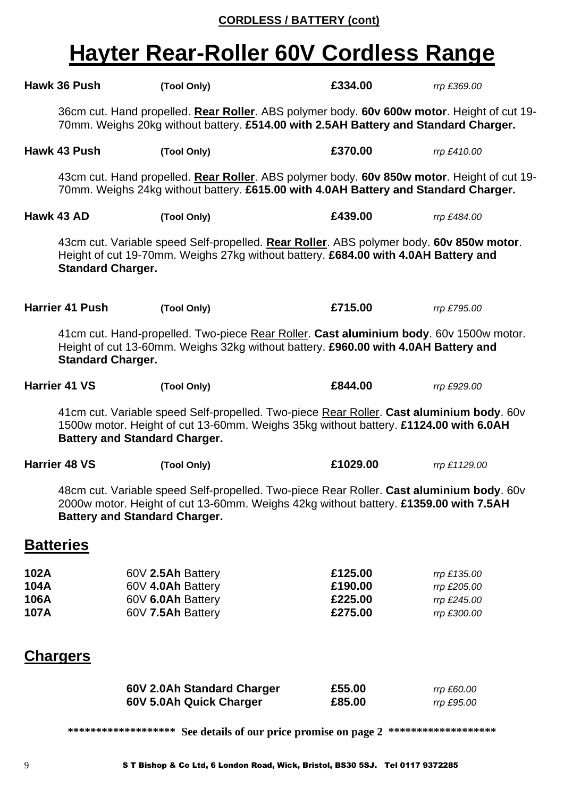#### **CORDLESS / BATTERY (cont)**

# **Hayter Rear-Roller 60V Cordless Range**

|                              | Hawk 36 Push                                                                                                                                                                                                             | (Tool Only)                                                                                                                                                                                                              | £334.00                                  | rrp £369.00                                              |  |
|------------------------------|--------------------------------------------------------------------------------------------------------------------------------------------------------------------------------------------------------------------------|--------------------------------------------------------------------------------------------------------------------------------------------------------------------------------------------------------------------------|------------------------------------------|----------------------------------------------------------|--|
|                              | 36cm cut. Hand propelled. Rear Roller. ABS polymer body. 60v 600w motor. Height of cut 19-<br>70mm. Weighs 20kg without battery. £514.00 with 2.5AH Battery and Standard Charger.                                        |                                                                                                                                                                                                                          |                                          |                                                          |  |
|                              | Hawk 43 Push                                                                                                                                                                                                             | (Tool Only)                                                                                                                                                                                                              | £370.00                                  | rrp £410.00                                              |  |
|                              |                                                                                                                                                                                                                          | 43cm cut. Hand propelled. Rear Roller. ABS polymer body. 60v 850w motor. Height of cut 19-<br>70mm. Weighs 24kg without battery. £615.00 with 4.0AH Battery and Standard Charger.                                        |                                          |                                                          |  |
|                              | Hawk 43 AD                                                                                                                                                                                                               | (Tool Only)                                                                                                                                                                                                              | £439.00                                  | rrp £484.00                                              |  |
|                              | <b>Standard Charger.</b>                                                                                                                                                                                                 | 43cm cut. Variable speed Self-propelled. Rear Roller. ABS polymer body. 60v 850w motor.<br>Height of cut 19-70mm. Weighs 27kg without battery. £684.00 with 4.0AH Battery and                                            |                                          |                                                          |  |
|                              | Harrier 41 Push                                                                                                                                                                                                          | (Tool Only)                                                                                                                                                                                                              | £715.00                                  | rrp £795.00                                              |  |
|                              | <b>Standard Charger.</b>                                                                                                                                                                                                 | 41cm cut. Hand-propelled. Two-piece Rear Roller. Cast aluminium body. 60v 1500w motor.<br>Height of cut 13-60mm. Weighs 32kg without battery. £960.00 with 4.0AH Battery and                                             |                                          |                                                          |  |
|                              | <b>Harrier 41 VS</b>                                                                                                                                                                                                     | (Tool Only)                                                                                                                                                                                                              | £844.00                                  | rrp £929.00                                              |  |
|                              |                                                                                                                                                                                                                          | 41cm cut. Variable speed Self-propelled. Two-piece Rear Roller. Cast aluminium body. 60v<br>1500w motor. Height of cut 13-60mm. Weighs 35kg without battery. £1124.00 with 6.0AH<br><b>Battery and Standard Charger.</b> |                                          |                                                          |  |
|                              | <b>Harrier 48 VS</b>                                                                                                                                                                                                     | (Tool Only)                                                                                                                                                                                                              | £1029.00                                 | rrp £1129.00                                             |  |
|                              | 48cm cut. Variable speed Self-propelled. Two-piece Rear Roller. Cast aluminium body. 60v<br>2000w motor. Height of cut 13-60mm. Weighs 42kg without battery. £1359.00 with 7.5AH<br><b>Battery and Standard Charger.</b> |                                                                                                                                                                                                                          |                                          |                                                          |  |
|                              | <b>Batteries</b>                                                                                                                                                                                                         |                                                                                                                                                                                                                          |                                          |                                                          |  |
| 102A<br>104A<br>106A<br>107A |                                                                                                                                                                                                                          | 60V 2.5Ah Battery<br>60V 4.0Ah Battery<br>60V 6.0Ah Battery<br>60V 7.5Ah Battery                                                                                                                                         | £125.00<br>£190.00<br>£225.00<br>£275.00 | rrp £135.00<br>rrp £205.00<br>rrp £245.00<br>rrp £300.00 |  |
|                              | <b>Chargers</b>                                                                                                                                                                                                          |                                                                                                                                                                                                                          |                                          |                                                          |  |
|                              |                                                                                                                                                                                                                          | 60V 2.0Ah Standard Charger<br>60V 5.0Ah Quick Charger                                                                                                                                                                    | £55.00<br>£85.00                         | rrp £60.00<br>rrp £95.00                                 |  |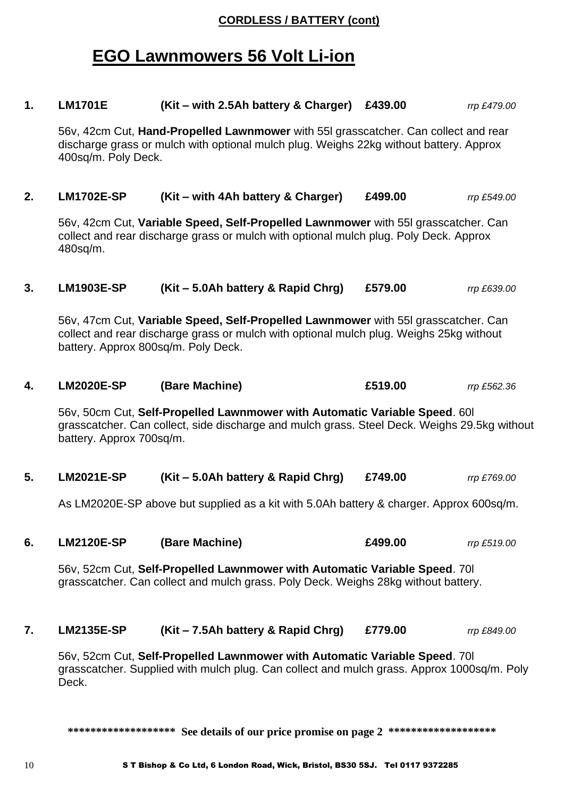#### **CORDLESS / BATTERY (cont)**

## **EGO Lawnmowers 56 Volt Li-ion**

**1. LM1701E (Kit – with 2.5Ah battery & Charger) £439.00** *rrp £479.00*

56v, 42cm Cut, **Hand-Propelled Lawnmower** with 55l grasscatcher. Can collect and rear discharge grass or mulch with optional mulch plug. Weighs 22kg without battery. Approx 400sq/m. Poly Deck.

**2. LM1702E-SP (Kit – with 4Ah battery & Charger) £499.00** *rrp £549.00*

56v, 42cm Cut, **Variable Speed, Self-Propelled Lawnmower** with 55l grasscatcher. Can collect and rear discharge grass or mulch with optional mulch plug. Poly Deck. Approx 480sq/m.

**3. LM1903E-SP (Kit – 5.0Ah battery & Rapid Chrg) £579.00** *rrp £639.00*

56v, 47cm Cut, **Variable Speed, Self-Propelled Lawnmower** with 55l grasscatcher. Can collect and rear discharge grass or mulch with optional mulch plug. Weighs 25kg without battery. Approx 800sq/m. Poly Deck.

**4. LM2020E-SP (Bare Machine) £519.00** *rrp £562.36*

56v, 50cm Cut, **Self-Propelled Lawnmower with Automatic Variable Speed**. 60l grasscatcher. Can collect, side discharge and mulch grass. Steel Deck. Weighs 29.5kg without battery. Approx 700sq/m.

**5. LM2021E-SP (Kit – 5.0Ah battery & Rapid Chrg) £749.00** *rrp £769.00*

As LM2020E-SP above but supplied as a kit with 5.0Ah battery & charger. Approx 600sq/m.

**6. LM2120E-SP (Bare Machine) £499.00** *rrp £519.00*

56v, 52cm Cut, **Self-Propelled Lawnmower with Automatic Variable Speed**. 70l grasscatcher. Can collect and mulch grass. Poly Deck. Weighs 28kg without battery.

**7. LM2135E-SP (Kit – 7.5Ah battery & Rapid Chrg) £779.00** *rrp £849.00*

56v, 52cm Cut, **Self-Propelled Lawnmower with Automatic Variable Speed**. 70l grasscatcher. Supplied with mulch plug. Can collect and mulch grass. Approx 1000sq/m. Poly Deck.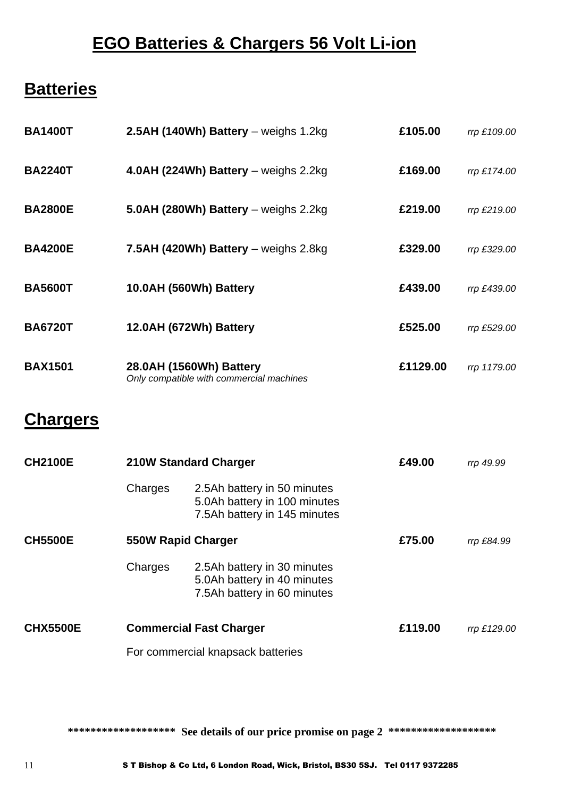## **EGO Batteries & Chargers 56 Volt Li-ion**

## **Batteries**

| <b>BA1400T</b>  |                                                                     | 2.5AH (140Wh) Battery $-$ weighs 1.2kg                                                      | £105.00  | rrp £109.00 |
|-----------------|---------------------------------------------------------------------|---------------------------------------------------------------------------------------------|----------|-------------|
| <b>BA2240T</b>  |                                                                     | 4.0AH (224Wh) Battery – weighs $2.2$ kg                                                     | £169.00  | rrp £174.00 |
| <b>BA2800E</b>  |                                                                     | 5.0AH (280Wh) Battery - weighs 2.2kg                                                        | £219.00  | rrp £219.00 |
| <b>BA4200E</b>  |                                                                     | 7.5AH (420Wh) Battery - weighs 2.8kg                                                        | £329.00  | rrp £329.00 |
| <b>BA5600T</b>  |                                                                     | 10.0AH (560Wh) Battery                                                                      | £439.00  | rrp £439.00 |
| <b>BA6720T</b>  |                                                                     | 12.0AH (672Wh) Battery                                                                      | £525.00  | rrp £529.00 |
| <b>BAX1501</b>  | 28.0AH (1560Wh) Battery<br>Only compatible with commercial machines |                                                                                             | £1129.00 | rrp 1179.00 |
| <b>Chargers</b> |                                                                     |                                                                                             |          |             |
| <b>CH2100E</b>  |                                                                     | <b>210W Standard Charger</b>                                                                | £49.00   | rrp 49.99   |
|                 | Charges                                                             | 2.5Ah battery in 50 minutes<br>5.0Ah battery in 100 minutes<br>7.5Ah battery in 145 minutes |          |             |
| <b>CH5500E</b>  | 550W Rapid Charger                                                  |                                                                                             | £75.00   | rrp £84.99  |
|                 | Charges                                                             | 2.5Ah battery in 30 minutes<br>5.0Ah battery in 40 minutes                                  |          |             |

7.5Ah battery in 60 minutes **CHX5500E Commercial Fast Charger £119.00** *rrp £129.00*

For commercial knapsack batteries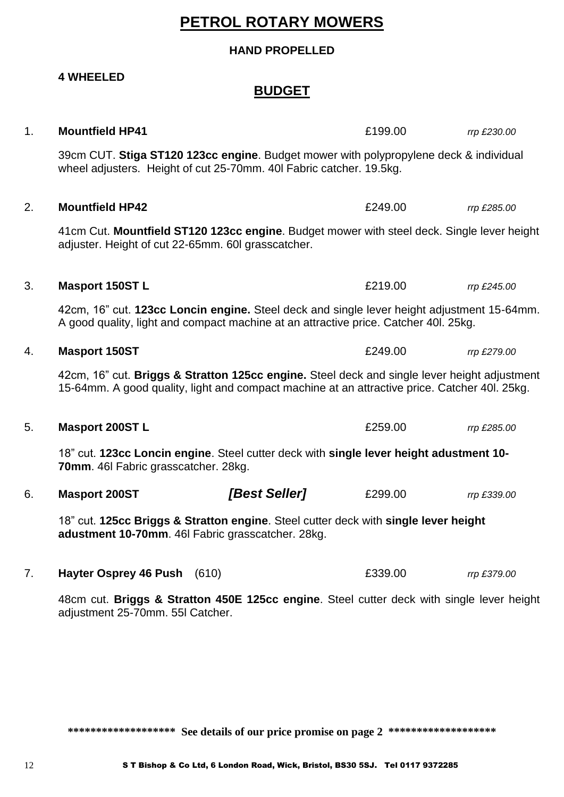## **PETROL ROTARY MOWERS**

#### **HAND PROPELLED**

**4 WHEELED** 

#### **BUDGET**

| 1. | <b>Mountfield HP41</b>                             |                                                                                                                                                                                               | £199.00 | rrp £230.00 |
|----|----------------------------------------------------|-----------------------------------------------------------------------------------------------------------------------------------------------------------------------------------------------|---------|-------------|
|    |                                                    | 39cm CUT. Stiga ST120 123cc engine. Budget mower with polypropylene deck & individual<br>wheel adjusters. Height of cut 25-70mm. 40I Fabric catcher. 19.5kg.                                  |         |             |
| 2. | <b>Mountfield HP42</b>                             |                                                                                                                                                                                               | £249.00 | rrp £285.00 |
|    | adjuster. Height of cut 22-65mm. 60I grasscatcher. | 41cm Cut. Mountfield ST120 123cc engine. Budget mower with steel deck. Single lever height                                                                                                    |         |             |
| 3. | <b>Masport 150ST L</b>                             |                                                                                                                                                                                               | £219.00 | rrp £245.00 |
|    |                                                    | 42cm, 16" cut. 123cc Loncin engine. Steel deck and single lever height adjustment 15-64mm.<br>A good quality, light and compact machine at an attractive price. Catcher 401. 25kg.            |         |             |
| 4. | <b>Masport 150ST</b>                               |                                                                                                                                                                                               | £249.00 | rrp £279.00 |
|    |                                                    | 42cm, 16" cut. Briggs & Stratton 125cc engine. Steel deck and single lever height adjustment<br>15-64mm. A good quality, light and compact machine at an attractive price. Catcher 40I. 25kg. |         |             |
| 5. | <b>Masport 200ST L</b>                             |                                                                                                                                                                                               | £259.00 | rrp £285.00 |
|    | 70mm. 46I Fabric grasscatcher. 28kg.               | 18" cut. 123cc Loncin engine. Steel cutter deck with single lever height adustment 10-                                                                                                        |         |             |
| 6. | <b>Masport 200ST</b>                               | [Best Seller]                                                                                                                                                                                 | £299.00 | rrp £339.00 |
|    |                                                    | 18" cut. 125cc Briggs & Stratton engine. Steel cutter deck with single lever height<br>adustment 10-70mm. 46I Fabric grasscatcher. 28kg.                                                      |         |             |
| 7. | <b>Hayter Osprey 46 Push</b>                       | (610)                                                                                                                                                                                         | £339.00 | rrp £379.00 |

48cm cut. **Briggs & Stratton 450E 125cc engine**. Steel cutter deck with single lever height adjustment 25-70mm. 55l Catcher.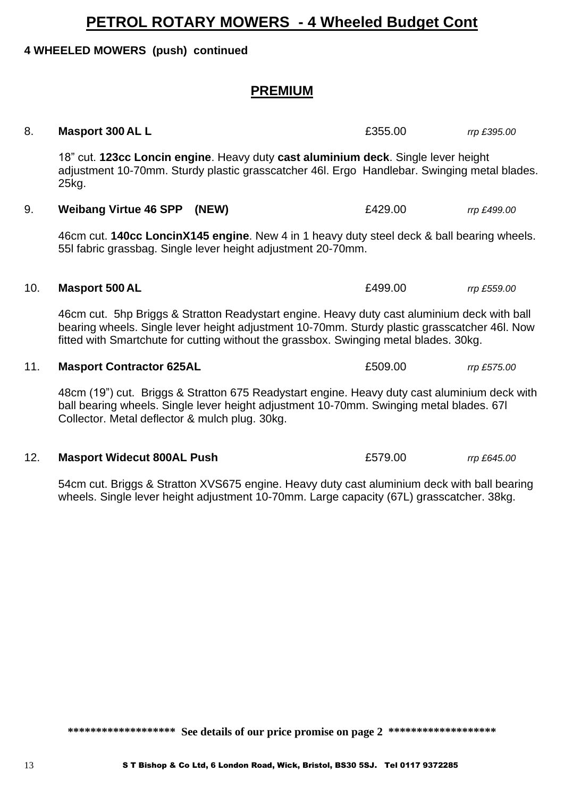## **PETROL ROTARY MOWERS - 4 Wheeled Budget Cont**

#### **4 WHEELED MOWERS (push) continued**

## **PREMIUM**

### 8. **Masport 300 AL L E355.00** *rrp £395.00*

18" cut. **123cc Loncin engine**. Heavy duty **cast aluminium deck**. Single lever height adjustment 10-70mm. Sturdy plastic grasscatcher 46l. Ergo Handlebar. Swinging metal blades. 25kg.

9. **Weibang Virtue 46 SPP (NEW)** £429.00 *rrp £499.00*

46cm cut. **140cc LoncinX145 engine**. New 4 in 1 heavy duty steel deck & ball bearing wheels. 55l fabric grassbag. Single lever height adjustment 20-70mm.

#### 10. **Masport 500 AL** £499.00 *rrp £559.00*

46cm cut. 5hp Briggs & Stratton Readystart engine. Heavy duty cast aluminium deck with ball bearing wheels. Single lever height adjustment 10-70mm. Sturdy plastic grasscatcher 46l. Now fitted with Smartchute for cutting without the grassbox. Swinging metal blades. 30kg.

#### 11. **Masport Contractor 625AL** £509.00 *rrp £575.00*

48cm (19") cut. Briggs & Stratton 675 Readystart engine. Heavy duty cast aluminium deck with ball bearing wheels. Single lever height adjustment 10-70mm. Swinging metal blades. 67l Collector. Metal deflector & mulch plug. 30kg.

#### 12. **Masport Widecut 800AL Push** £579.00 *rrp £645.00*

54cm cut. Briggs & Stratton XVS675 engine. Heavy duty cast aluminium deck with ball bearing wheels. Single lever height adjustment 10-70mm. Large capacity (67L) grasscatcher. 38kg.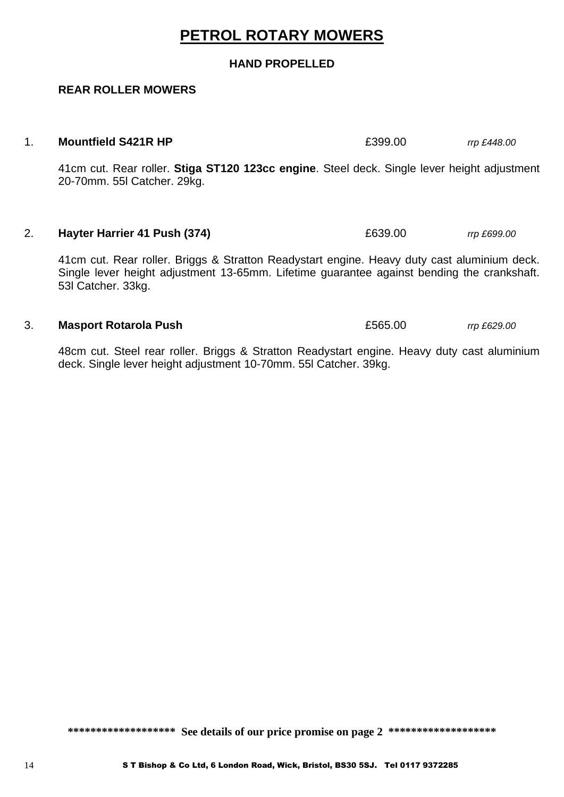## **PETROL ROTARY MOWERS**

#### **HAND PROPELLED**

#### **REAR ROLLER MOWERS**

#### 1. **Mountfield S421R HP** £399.00 *rrp £448.00*

41cm cut. Rear roller. **Stiga ST120 123cc engine**. Steel deck. Single lever height adjustment 20-70mm. 55l Catcher. 29kg.

#### 2. **Hayter Harrier 41 Push (374)** £639.00 *rrp £699.00*

41cm cut. Rear roller. Briggs & Stratton Readystart engine. Heavy duty cast aluminium deck. Single lever height adjustment 13-65mm. Lifetime guarantee against bending the crankshaft. 53l Catcher. 33kg.

#### 3. **Masport Rotarola Push** £565.00 *rrp £629.00*

48cm cut. Steel rear roller. Briggs & Stratton Readystart engine. Heavy duty cast aluminium deck. Single lever height adjustment 10-70mm. 55l Catcher. 39kg.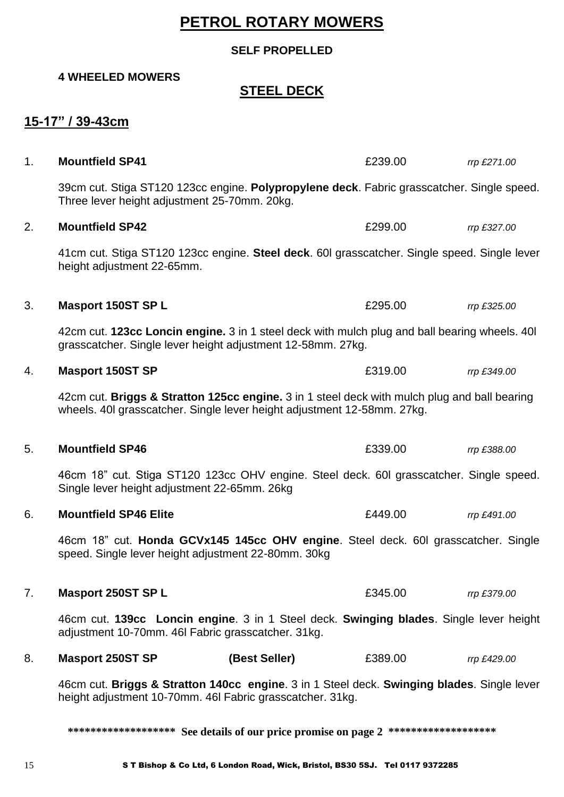## **PETROL ROTARY MOWERS**

#### **SELF PROPELLED**

#### **4 WHEELED MOWERS**

## **STEEL DECK**

### **15-17" / 39-43cm**

| 1. | <b>Mountfield SP41</b>                                                                                                                                                  |               | £239.00 | rrp £271.00 |
|----|-------------------------------------------------------------------------------------------------------------------------------------------------------------------------|---------------|---------|-------------|
|    | 39cm cut. Stiga ST120 123cc engine. Polypropylene deck. Fabric grasscatcher. Single speed.<br>Three lever height adjustment 25-70mm. 20kg.                              |               |         |             |
| 2. | <b>Mountfield SP42</b>                                                                                                                                                  |               | £299.00 | rrp £327.00 |
|    | 41cm cut. Stiga ST120 123cc engine. Steel deck. 60l grasscatcher. Single speed. Single lever<br>height adjustment 22-65mm.                                              |               |         |             |
| 3. | <b>Masport 150ST SP L</b>                                                                                                                                               |               | £295.00 | rrp £325.00 |
|    | 42cm cut. 123cc Loncin engine. 3 in 1 steel deck with mulch plug and ball bearing wheels. 40<br>grasscatcher. Single lever height adjustment 12-58mm. 27kg.             |               |         |             |
| 4. | <b>Masport 150ST SP</b>                                                                                                                                                 |               | £319.00 | rrp £349.00 |
|    | 42cm cut. Briggs & Stratton 125cc engine. 3 in 1 steel deck with mulch plug and ball bearing<br>wheels. 40I grasscatcher. Single lever height adjustment 12-58mm. 27kg. |               |         |             |
| 5. | <b>Mountfield SP46</b>                                                                                                                                                  |               | £339.00 | rrp £388.00 |
|    | 46cm 18" cut. Stiga ST120 123cc OHV engine. Steel deck. 60l grasscatcher. Single speed.<br>Single lever height adjustment 22-65mm. 26kg                                 |               |         |             |
| 6. | <b>Mountfield SP46 Elite</b>                                                                                                                                            |               | £449.00 | rrp £491.00 |
|    | 46cm 18" cut. Honda GCVx145 145cc OHV engine. Steel deck. 60l grasscatcher. Single<br>speed. Single lever height adjustment 22-80mm. 30kg                               |               |         |             |
| 7. | <b>Masport 250ST SP L</b>                                                                                                                                               |               | £345.00 | rrp £379.00 |
|    | 46cm cut. 139cc Loncin engine. 3 in 1 Steel deck. Swinging blades. Single lever height<br>adjustment 10-70mm. 46I Fabric grasscatcher. 31kg.                            |               |         |             |
| 8. | <b>Masport 250ST SP</b>                                                                                                                                                 | (Best Seller) | £389.00 | rrp £429.00 |
|    | 46cm cut. Briggs & Stratton 140cc engine. 3 in 1 Steel deck. Swinging blades. Single lever<br>height adjustment 10-70mm. 46I Fabric grasscatcher. 31kg.                 |               |         |             |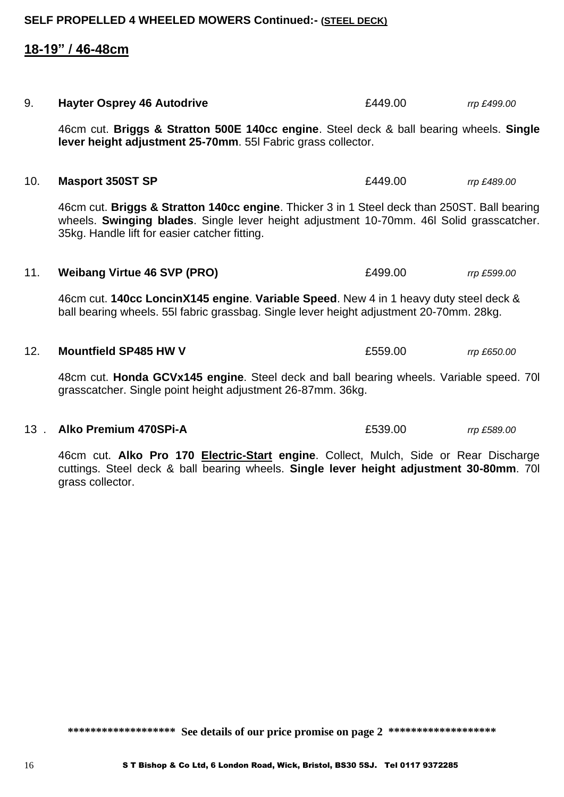### **18-19" / 46-48cm**

46cm cut. **Briggs & Stratton 500E 140cc engine**. Steel deck & ball bearing wheels. **Single lever height adjustment 25-70mm**. 55l Fabric grass collector.

9. **Hayter Osprey 46 Autodrive** £449.00 *rrp £499.00*

#### 10. **Masport 350ST SP** £449.00 *rrp £489.00*

46cm cut. **Briggs & Stratton 140cc engine**. Thicker 3 in 1 Steel deck than 250ST. Ball bearing wheels. **Swinging blades**. Single lever height adjustment 10-70mm. 46l Solid grasscatcher. 35kg. Handle lift for easier catcher fitting.

#### 11. **Weibang Virtue 46 SVP (PRO)** £499.00 *rrp £599.00*

46cm cut. **140cc LoncinX145 engine**. **Variable Speed**. New 4 in 1 heavy duty steel deck & ball bearing wheels. 55l fabric grassbag. Single lever height adjustment 20-70mm. 28kg.

#### 12. **Mountfield SP485 HW V** £559.00 *rrp £650.00*

48cm cut. **Honda GCVx145 engine**. Steel deck and ball bearing wheels. Variable speed. 70l grasscatcher. Single point height adjustment 26-87mm. 36kg.

#### 13 . **Alko Premium 470SPi-A** £539.00 *rrp £589.00*

46cm cut. **Alko Pro 170 Electric-Start engine**. Collect, Mulch, Side or Rear Discharge cuttings. Steel deck & ball bearing wheels. **Single lever height adjustment 30-80mm**. 70l grass collector.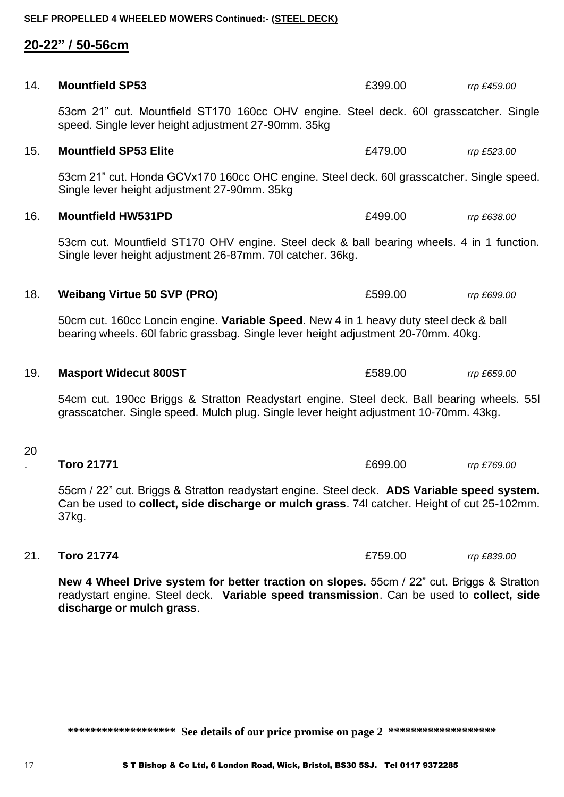**SELF PROPELLED 4 WHEELED MOWERS Continued:- (STEEL DECK)**

**20-22" / 50-56cm**

| 14. | <b>Mountfield SP53</b>                                                                                                                                                                              | £399.00 | rrp £459.00 |
|-----|-----------------------------------------------------------------------------------------------------------------------------------------------------------------------------------------------------|---------|-------------|
|     | 53cm 21" cut. Mountfield ST170 160cc OHV engine. Steel deck. 60l grasscatcher. Single<br>speed. Single lever height adjustment 27-90mm. 35kg                                                        |         |             |
| 15. | <b>Mountfield SP53 Elite</b>                                                                                                                                                                        | £479.00 | rrp £523.00 |
|     | 53cm 21" cut. Honda GCVx170 160cc OHC engine. Steel deck. 60l grasscatcher. Single speed.<br>Single lever height adjustment 27-90mm. 35kg                                                           |         |             |
| 16. | <b>Mountfield HW531PD</b>                                                                                                                                                                           | £499.00 | rrp £638.00 |
|     | 53cm cut. Mountfield ST170 OHV engine. Steel deck & ball bearing wheels. 4 in 1 function.<br>Single lever height adjustment 26-87mm. 70I catcher. 36kg.                                             |         |             |
| 18. | <b>Weibang Virtue 50 SVP (PRO)</b>                                                                                                                                                                  | £599.00 | rrp £699.00 |
|     | 50cm cut. 160cc Loncin engine. Variable Speed. New 4 in 1 heavy duty steel deck & ball<br>bearing wheels. 60I fabric grassbag. Single lever height adjustment 20-70mm. 40kg.                        |         |             |
| 19. | <b>Masport Widecut 800ST</b>                                                                                                                                                                        | £589.00 | rrp £659.00 |
|     | 54cm cut. 190cc Briggs & Stratton Readystart engine. Steel deck. Ball bearing wheels. 551<br>grasscatcher. Single speed. Mulch plug. Single lever height adjustment 10-70mm. 43kg.                  |         |             |
| 20  |                                                                                                                                                                                                     |         |             |
|     | <b>Toro 21771</b>                                                                                                                                                                                   | £699.00 | rrp £769.00 |
|     | 55cm / 22" cut. Briggs & Stratton readystart engine. Steel deck. ADS Variable speed system.<br>Can be used to collect, side discharge or mulch grass. 74I catcher. Height of cut 25-102mm.<br>37kg. |         |             |

**New 4 Wheel Drive system for better traction on slopes.** 55cm / 22" cut. Briggs & Stratton readystart engine. Steel deck. **Variable speed transmission**. Can be used to **collect, side discharge or mulch grass**.

21. **Toro 21774** £759.00 *rrp £839.00*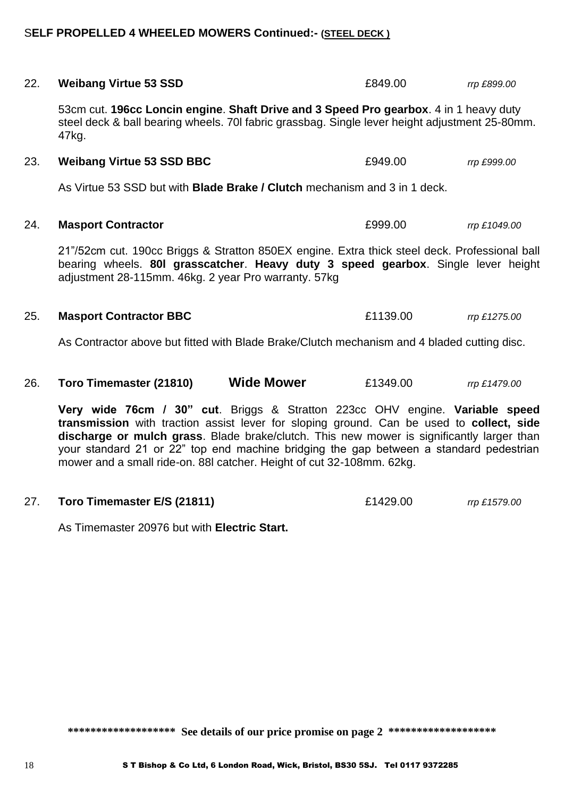#### S**ELF PROPELLED 4 WHEELED MOWERS Continued:- (STEEL DECK )**

| 22. | <b>Weibang Virtue 53 SSD</b>                                                                                                                                                                                                                                          | £849.00  | rrp £899.00  |
|-----|-----------------------------------------------------------------------------------------------------------------------------------------------------------------------------------------------------------------------------------------------------------------------|----------|--------------|
|     | 53cm cut. 196cc Loncin engine. Shaft Drive and 3 Speed Pro gearbox. 4 in 1 heavy duty<br>steel deck & ball bearing wheels. 70I fabric grassbag. Single lever height adjustment 25-80mm.<br>47kg.                                                                      |          |              |
| 23. | <b>Weibang Virtue 53 SSD BBC</b>                                                                                                                                                                                                                                      | £949.00  | rrp £999.00  |
|     | As Virtue 53 SSD but with <b>Blade Brake / Clutch</b> mechanism and 3 in 1 deck.                                                                                                                                                                                      |          |              |
| 24. | <b>Masport Contractor</b>                                                                                                                                                                                                                                             | £999.00  | rrp £1049.00 |
|     | 21"/52cm cut. 190cc Briggs & Stratton 850EX engine. Extra thick steel deck. Professional ball<br>bearing wheels. 80I grasscatcher. Heavy duty 3 speed gearbox. Single lever height<br>adjustment 28-115mm. 46kg. 2 year Pro warranty. 57kg                            |          |              |
| 25. | <b>Masport Contractor BBC</b>                                                                                                                                                                                                                                         | £1139.00 | rrp £1275.00 |
|     | As Contractor above but fitted with Blade Brake/Clutch mechanism and 4 bladed cutting disc.                                                                                                                                                                           |          |              |
| 26. | <b>Wide Mower</b><br>Toro Timemaster (21810)                                                                                                                                                                                                                          | £1349.00 | rrp £1479.00 |
|     | Very wide 76cm / 30" cut. Briggs & Stratton 223cc OHV engine. Variable speed<br>transmission with traction assist lever for sloping ground. Can be used to collect, side<br>discharge or mulch grass. Blade brake/clutch. This new mower is significantly larger than |          |              |

**discharge or mulch grass**. Blade brake/clutch. This new mower is significantly larger than your standard 21 or 22" top end machine bridging the gap between a standard pedestrian mower and a small ride-on. 88l catcher. Height of cut 32-108mm. 62kg.

#### 27. **Toro Timemaster E/S (21811)** £1429.00 *rrp £1579.00*

As Timemaster 20976 but with **Electric Start.**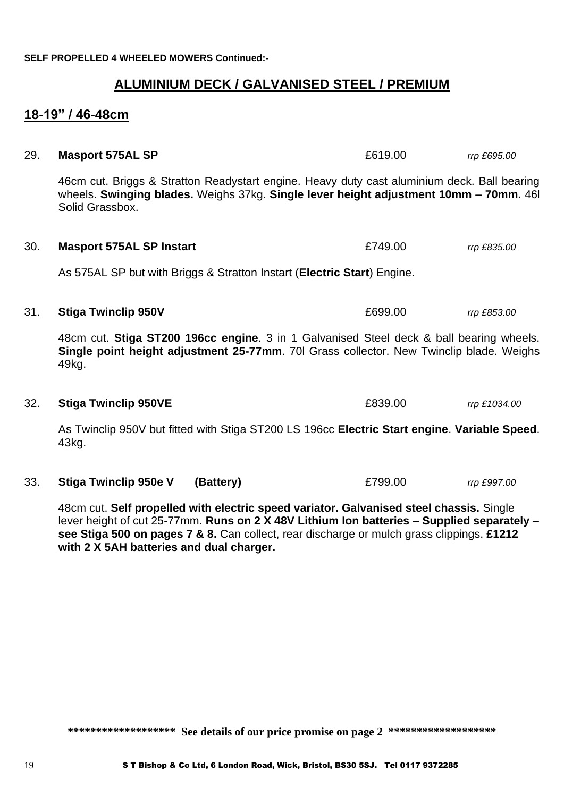**SELF PROPELLED 4 WHEELED MOWERS Continued:-**

#### **ALUMINIUM DECK / GALVANISED STEEL / PREMIUM**

#### **18-19" / 46-48cm**

# 29. **Masport 575AL SP**  $\qquad 29.$  **Masport 575AL SP** 46cm cut. Briggs & Stratton Readystart engine. Heavy duty cast aluminium deck. Ball bearing wheels. **Swinging blades.** Weighs 37kg. **Single lever height adjustment 10mm – 70mm.** 46l Solid Grassbox. 30. **Masport 575AL SP Instart** £749.00 *rrp £835.00* As 575AL SP but with Briggs & Stratton Instart (**Electric Start**) Engine. 31. **Stiga Twinclip 950V** £699.00 *rrp £853.00* 48cm cut. **Stiga ST200 196cc engine**. 3 in 1 Galvanised Steel deck & ball bearing wheels. **Single point height adjustment 25-77mm**. 70l Grass collector. New Twinclip blade. Weighs 49kg. 32. **Stiga Twinclip 950VE** £839.00 *rrp £1034.00* As Twinclip 950V but fitted with Stiga ST200 LS 196cc **Electric Start engine**. **Variable Speed**. 43kg.

33. **Stiga Twinclip 950e V (Battery)** £799.00 *rrp £997.00*

48cm cut. **Self propelled with electric speed variator. Galvanised steel chassis.** Single lever height of cut 25-77mm. **Runs on 2 X 48V Lithium Ion batteries – Supplied separately – see Stiga 500 on pages 7 & 8.** Can collect, rear discharge or mulch grass clippings. **£1212 with 2 X 5AH batteries and dual charger.**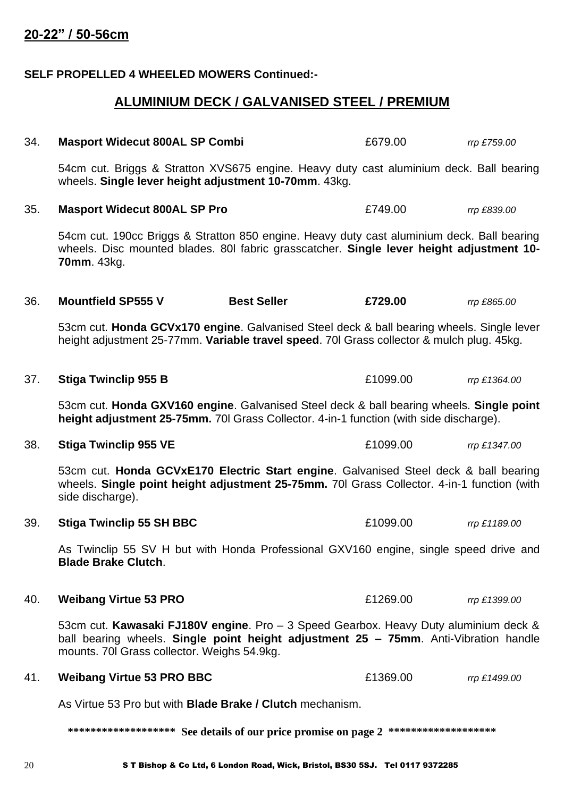#### **SELF PROPELLED 4 WHEELED MOWERS Continued:-**

### **ALUMINIUM DECK / GALVANISED STEEL / PREMIUM**

| 34. | <b>Masport Widecut 800AL SP Combi</b>                                                                                                                                                                                       |                    | £679.00  | rrp £759.00  |
|-----|-----------------------------------------------------------------------------------------------------------------------------------------------------------------------------------------------------------------------------|--------------------|----------|--------------|
|     | 54cm cut. Briggs & Stratton XVS675 engine. Heavy duty cast aluminium deck. Ball bearing<br>wheels. Single lever height adjustment 10-70mm. 43kg.                                                                            |                    |          |              |
| 35. | <b>Masport Widecut 800AL SP Pro</b>                                                                                                                                                                                         |                    | £749.00  | rrp £839.00  |
|     | 54cm cut. 190cc Briggs & Stratton 850 engine. Heavy duty cast aluminium deck. Ball bearing<br>wheels. Disc mounted blades. 80 fabric grasscatcher. Single lever height adjustment 10-<br><b>70mm.</b> 43kg.                 |                    |          |              |
| 36. | <b>Mountfield SP555 V</b>                                                                                                                                                                                                   | <b>Best Seller</b> | £729.00  | rrp £865.00  |
|     | 53cm cut. Honda GCVx170 engine. Galvanised Steel deck & ball bearing wheels. Single lever<br>height adjustment 25-77mm. Variable travel speed. 70 Grass collector & mulch plug. 45kg.                                       |                    |          |              |
| 37. | <b>Stiga Twinclip 955 B</b>                                                                                                                                                                                                 |                    | £1099.00 | rrp £1364.00 |
|     | 53cm cut. Honda GXV160 engine. Galvanised Steel deck & ball bearing wheels. Single point<br>height adjustment 25-75mm. 70I Grass Collector. 4-in-1 function (with side discharge).                                          |                    |          |              |
| 38. | <b>Stiga Twinclip 955 VE</b>                                                                                                                                                                                                |                    | £1099.00 | rrp £1347.00 |
|     | 53cm cut. Honda GCVxE170 Electric Start engine. Galvanised Steel deck & ball bearing<br>wheels. Single point height adjustment 25-75mm. 701 Grass Collector. 4-in-1 function (with<br>side discharge).                      |                    |          |              |
| 39. | <b>Stiga Twinclip 55 SH BBC</b>                                                                                                                                                                                             |                    | £1099.00 | rrp £1189.00 |
|     | As Twinclip 55 SV H but with Honda Professional GXV160 engine, single speed drive and<br><b>Blade Brake Clutch.</b>                                                                                                         |                    |          |              |
| 40. | <b>Weibang Virtue 53 PRO</b>                                                                                                                                                                                                |                    | £1269.00 | rrp £1399.00 |
|     | 53cm cut. Kawasaki FJ180V engine. Pro - 3 Speed Gearbox. Heavy Duty aluminium deck &<br>ball bearing wheels. Single point height adjustment 25 - 75mm. Anti-Vibration handle<br>mounts. 70I Grass collector. Weighs 54.9kg. |                    |          |              |
| 41. | <b>Weibang Virtue 53 PRO BBC</b>                                                                                                                                                                                            |                    | £1369.00 | rrp £1499.00 |
|     | As Virtue 53 Pro but with <b>Blade Brake / Clutch</b> mechanism.                                                                                                                                                            |                    |          |              |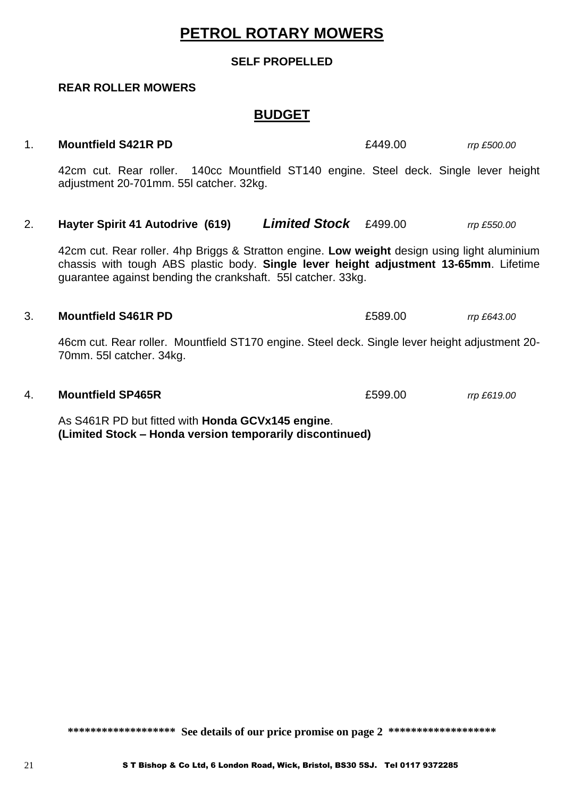## **PETROL ROTARY MOWERS**

#### **SELF PROPELLED**

#### **REAR ROLLER MOWERS**

#### **BUDGET**

#### 1. **Mountfield S421R PD** £449.00 *rrp £500.00*

42cm cut. Rear roller. 140cc Mountfield ST140 engine. Steel deck. Single lever height adjustment 20-701mm. 55l catcher. 32kg.

2. **Hayter Spirit 41 Autodrive (619)** *Limited Stock* £499.00 *rrp £550.00*

42cm cut. Rear roller. 4hp Briggs & Stratton engine. **Low weight** design using light aluminium chassis with tough ABS plastic body. **Single lever height adjustment 13-65mm**. Lifetime guarantee against bending the crankshaft. 55l catcher. 33kg.

#### 3. **Mountfield S461R PD** £589.00 *rrp £643.00*

46cm cut. Rear roller. Mountfield ST170 engine. Steel deck. Single lever height adjustment 20- 70mm. 55l catcher. 34kg.

#### 4. **Mountfield SP465R** £599.00 *rrp £619.00*

As S461R PD but fitted with **Honda GCVx145 engine**. **(Limited Stock – Honda version temporarily discontinued)**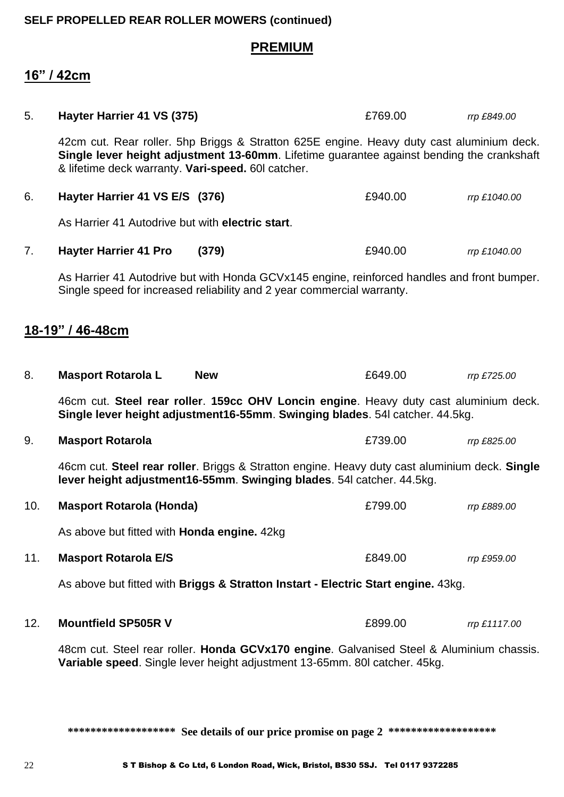#### **SELF PROPELLED REAR ROLLER MOWERS (continued)**

#### **PREMIUM**

#### **16" / 42cm**

| 5.  | Hayter Harrier 41 VS (375)                                                                                                                                                                                                                   | £769.00 | rrp £849.00  |
|-----|----------------------------------------------------------------------------------------------------------------------------------------------------------------------------------------------------------------------------------------------|---------|--------------|
|     | 42cm cut. Rear roller. 5hp Briggs & Stratton 625E engine. Heavy duty cast aluminium deck.<br>Single lever height adjustment 13-60mm. Lifetime guarantee against bending the crankshaft<br>& lifetime deck warranty. Vari-speed. 60I catcher. |         |              |
| 6.  | Hayter Harrier 41 VS E/S (376)                                                                                                                                                                                                               | £940.00 | rrp £1040.00 |
|     | As Harrier 41 Autodrive but with electric start.                                                                                                                                                                                             |         |              |
| 7.  | <b>Hayter Harrier 41 Pro</b><br>(379)                                                                                                                                                                                                        | £940.00 | rrp £1040.00 |
|     | As Harrier 41 Autodrive but with Honda GCVx145 engine, reinforced handles and front bumper.<br>Single speed for increased reliability and 2 year commercial warranty.                                                                        |         |              |
|     | 18-19" / 46-48cm                                                                                                                                                                                                                             |         |              |
| 8.  | <b>Masport Rotarola L</b><br><b>New</b>                                                                                                                                                                                                      | £649.00 | rrp £725.00  |
|     | 46cm cut. Steel rear roller. 159cc OHV Loncin engine. Heavy duty cast aluminium deck.<br>Single lever height adjustment16-55mm. Swinging blades. 54I catcher. 44.5kg.                                                                        |         |              |
| 9.  | <b>Masport Rotarola</b>                                                                                                                                                                                                                      | £739.00 | rrp £825.00  |
|     | 46cm cut. Steel rear roller. Briggs & Stratton engine. Heavy duty cast aluminium deck. Single<br>lever height adjustment16-55mm. Swinging blades. 54I catcher. 44.5kg.                                                                       |         |              |
| 10. | <b>Masport Rotarola (Honda)</b>                                                                                                                                                                                                              | £799.00 | rrp £889.00  |
|     | As above but fitted with Honda engine. 42kg                                                                                                                                                                                                  |         |              |
| 11. | <b>Masport Rotarola E/S</b>                                                                                                                                                                                                                  | £849.00 | rrp £959.00  |
|     | As above but fitted with Briggs & Stratton Instart - Electric Start engine. 43kg.                                                                                                                                                            |         |              |
| 12. | <b>Mountfield SP505R V</b>                                                                                                                                                                                                                   | £899.00 | rrp £1117.00 |
|     | 48cm cut. Steel rear roller. Honda GCVx170 engine. Galvanised Steel & Aluminium chassis.<br>Variable speed. Single lever height adjustment 13-65mm. 80I catcher. 45kg.                                                                       |         |              |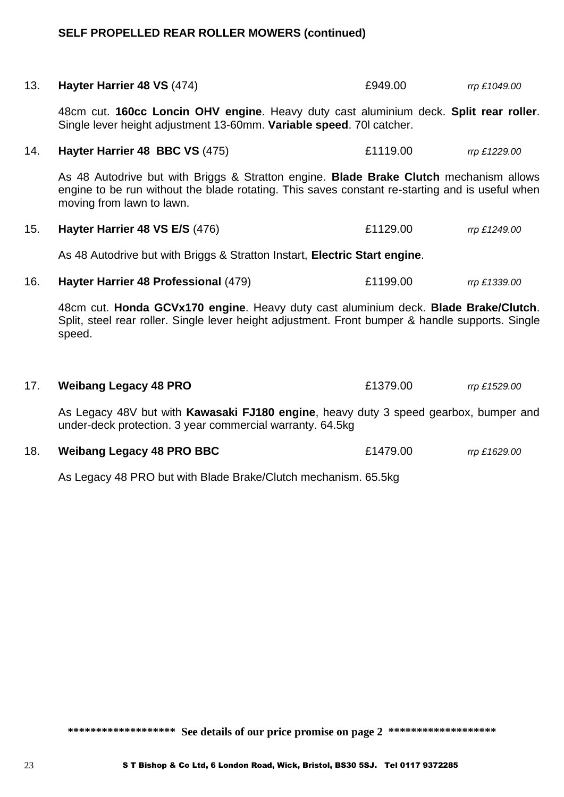## **SELF PROPELLED REAR ROLLER MOWERS (continued)**

| 13. | Hayter Harrier 48 VS (474)                                                                                                                                                                                             | £949.00  | rrp £1049.00 |
|-----|------------------------------------------------------------------------------------------------------------------------------------------------------------------------------------------------------------------------|----------|--------------|
|     | 48cm cut. 160cc Loncin OHV engine. Heavy duty cast aluminium deck. Split rear roller.<br>Single lever height adjustment 13-60mm. Variable speed. 70 catcher.                                                           |          |              |
| 14. | Hayter Harrier 48 BBC VS (475)                                                                                                                                                                                         | £1119.00 | rrp £1229.00 |
|     | As 48 Autodrive but with Briggs & Stratton engine. Blade Brake Clutch mechanism allows<br>engine to be run without the blade rotating. This saves constant re-starting and is useful when<br>moving from lawn to lawn. |          |              |
| 15. | Hayter Harrier 48 VS E/S (476)                                                                                                                                                                                         | £1129.00 | rrp £1249.00 |
|     | As 48 Autodrive but with Briggs & Stratton Instart, Electric Start engine.                                                                                                                                             |          |              |
| 16. | Hayter Harrier 48 Professional (479)                                                                                                                                                                                   | £1199.00 | rrp £1339.00 |
|     | 48cm cut. Honda GCVx170 engine. Heavy duty cast aluminium deck. Blade Brake/Clutch.<br>Split, steel rear roller. Single lever height adjustment. Front bumper & handle supports. Single<br>speed.                      |          |              |
| 17. | <b>Weibang Legacy 48 PRO</b>                                                                                                                                                                                           | £1379.00 | rrp £1529.00 |
|     | As Legacy 48V but with Kawasaki FJ180 engine, heavy duty 3 speed gearbox, bumper and<br>under-deck protection. 3 year commercial warranty. 64.5kg                                                                      |          |              |
| 18. | <b>Weibang Legacy 48 PRO BBC</b>                                                                                                                                                                                       | £1479.00 | rrp £1629.00 |

As Legacy 48 PRO but with Blade Brake/Clutch mechanism. 65.5kg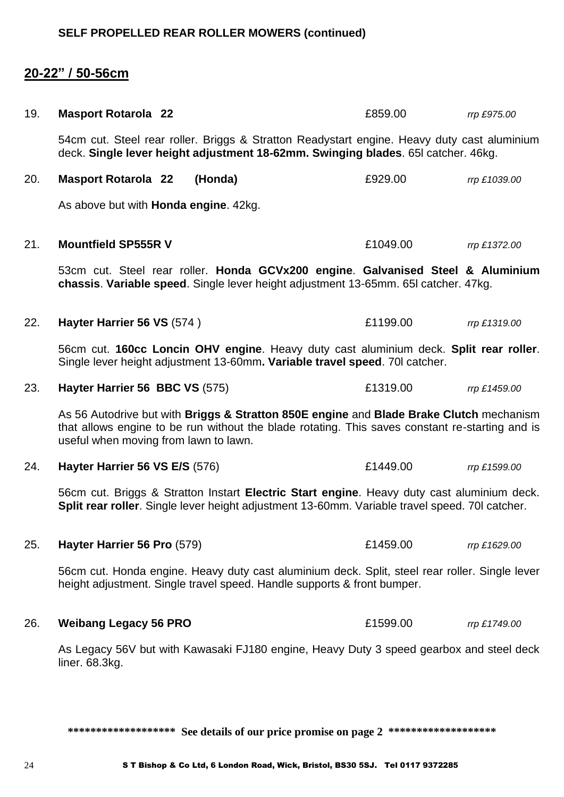### **20-22" / 50-56cm**

| 19. | <b>Masport Rotarola 22</b>                                                                                                                                                                                                          | £859.00  | rrp £975.00  |  |
|-----|-------------------------------------------------------------------------------------------------------------------------------------------------------------------------------------------------------------------------------------|----------|--------------|--|
|     | 54cm cut. Steel rear roller. Briggs & Stratton Readystart engine. Heavy duty cast aluminium<br>deck. Single lever height adjustment 18-62mm. Swinging blades. 65I catcher. 46kg.                                                    |          |              |  |
| 20. | <b>Masport Rotarola 22</b><br>(Honda)                                                                                                                                                                                               | £929.00  | rrp £1039.00 |  |
|     | As above but with <b>Honda engine</b> . 42kg.                                                                                                                                                                                       |          |              |  |
| 21. | <b>Mountfield SP555R V</b>                                                                                                                                                                                                          | £1049.00 | rrp £1372.00 |  |
|     | 53cm cut. Steel rear roller. Honda GCVx200 engine. Galvanised Steel & Aluminium<br>chassis. Variable speed. Single lever height adjustment 13-65mm. 65I catcher. 47kg.                                                              |          |              |  |
| 22. | Hayter Harrier 56 VS (574)                                                                                                                                                                                                          | £1199.00 | rrp £1319.00 |  |
|     | 56cm cut. 160cc Loncin OHV engine. Heavy duty cast aluminium deck. Split rear roller.<br>Single lever height adjustment 13-60mm. Variable travel speed. 70 catcher.                                                                 |          |              |  |
| 23. | Hayter Harrier 56 BBC VS (575)                                                                                                                                                                                                      | £1319.00 | rrp £1459.00 |  |
|     | As 56 Autodrive but with Briggs & Stratton 850E engine and Blade Brake Clutch mechanism<br>that allows engine to be run without the blade rotating. This saves constant re-starting and is<br>useful when moving from lawn to lawn. |          |              |  |
| 24. | Hayter Harrier 56 VS E/S (576)                                                                                                                                                                                                      | £1449.00 | rrp £1599.00 |  |
|     | 56cm cut. Briggs & Stratton Instart Electric Start engine. Heavy duty cast aluminium deck.<br>Split rear roller. Single lever height adjustment 13-60mm. Variable travel speed. 70I catcher.                                        |          |              |  |
| 25. | Hayter Harrier 56 Pro (579)                                                                                                                                                                                                         | £1459.00 | rrp £1629.00 |  |
|     | 56cm cut. Honda engine. Heavy duty cast aluminium deck. Split, steel rear roller. Single lever<br>height adjustment. Single travel speed. Handle supports & front bumper.                                                           |          |              |  |
| 26. | <b>Weibang Legacy 56 PRO</b>                                                                                                                                                                                                        | £1599.00 | rrp £1749.00 |  |
|     | As Legacy 56V but with Kawasaki FJ180 engine, Heavy Duty 3 speed gearbox and steel deck<br>liner. 68.3kg.                                                                                                                           |          |              |  |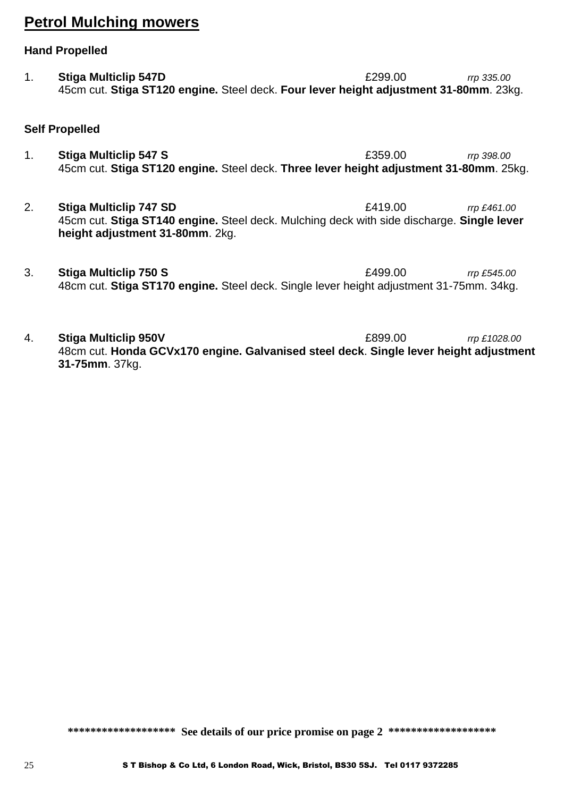## **Petrol Mulching mowers**

#### **Hand Propelled**

1. **Stiga Multiclip 547D** £299.00 *rrp 335.00* 45cm cut. **Stiga ST120 engine.** Steel deck. **Four lever height adjustment 31-80mm**. 23kg.

#### **Self Propelled**

- 1. **Stiga Multiclip 547 S** £359.00 *rrp 398.00* 45cm cut. **Stiga ST120 engine.** Steel deck. **Three lever height adjustment 31-80mm**. 25kg.
- 2. **Stiga Multiclip 747 SD** £419.00 *rrp £461.00* 45cm cut. **Stiga ST140 engine.** Steel deck. Mulching deck with side discharge. **Single lever height adjustment 31-80mm**. 2kg.
- 3. **Stiga Multiclip 750 S** £499.00 *rrp £545.00* 48cm cut. **Stiga ST170 engine.** Steel deck. Single lever height adjustment 31-75mm. 34kg.
- 4. **Stiga Multiclip 950V** £899.00 *rrp £1028.00* 48cm cut. **Honda GCVx170 engine. Galvanised steel deck**. **Single lever height adjustment 31-75mm**. 37kg.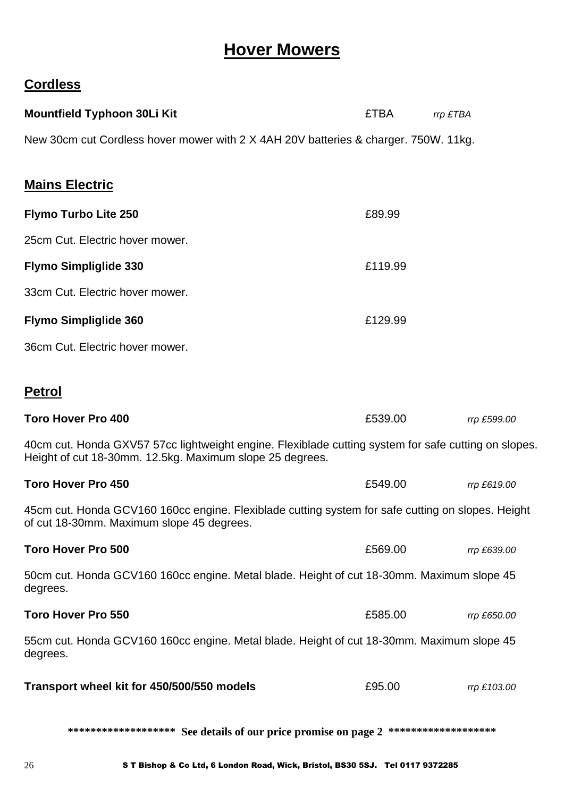## **Hover Mowers**

### **Cordless**

| <b>Mountfield Typhoon 30Li Kit</b>                                                                                                                               | <b>£TBA</b> | rrp £TBA    |
|------------------------------------------------------------------------------------------------------------------------------------------------------------------|-------------|-------------|
| New 30cm cut Cordless hover mower with 2 X 4AH 20V batteries & charger. 750W. 11kg.                                                                              |             |             |
| <b>Mains Electric</b>                                                                                                                                            |             |             |
| <b>Flymo Turbo Lite 250</b>                                                                                                                                      | £89.99      |             |
| 25cm Cut. Electric hover mower.                                                                                                                                  |             |             |
| <b>Flymo Simpliglide 330</b>                                                                                                                                     | £119.99     |             |
| 33cm Cut. Electric hover mower.                                                                                                                                  |             |             |
| <b>Flymo Simpliglide 360</b>                                                                                                                                     | £129.99     |             |
| 36cm Cut. Electric hover mower.                                                                                                                                  |             |             |
| <b>Petrol</b>                                                                                                                                                    |             |             |
| <b>Toro Hover Pro 400</b>                                                                                                                                        | £539.00     | rrp £599.00 |
| 40cm cut. Honda GXV57 57cc lightweight engine. Flexiblade cutting system for safe cutting on slopes.<br>Height of cut 18-30mm. 12.5kg. Maximum slope 25 degrees. |             |             |
| <b>Toro Hover Pro 450</b>                                                                                                                                        | £549.00     | rrp £619.00 |
| 45cm cut. Honda GCV160 160cc engine. Flexiblade cutting system for safe cutting on slopes. Height<br>of cut 18-30mm. Maximum slope 45 degrees.                   |             |             |
| <b>Toro Hover Pro 500</b>                                                                                                                                        | £569.00     | rrp £639.00 |
| 50cm cut. Honda GCV160 160cc engine. Metal blade. Height of cut 18-30mm. Maximum slope 45<br>degrees.                                                            |             |             |
| <b>Toro Hover Pro 550</b>                                                                                                                                        | £585.00     | rrp £650.00 |
| 55cm cut. Honda GCV160 160cc engine. Metal blade. Height of cut 18-30mm. Maximum slope 45<br>degrees.                                                            |             |             |
| Transport wheel kit for 450/500/550 models                                                                                                                       | £95.00      | rrp £103.00 |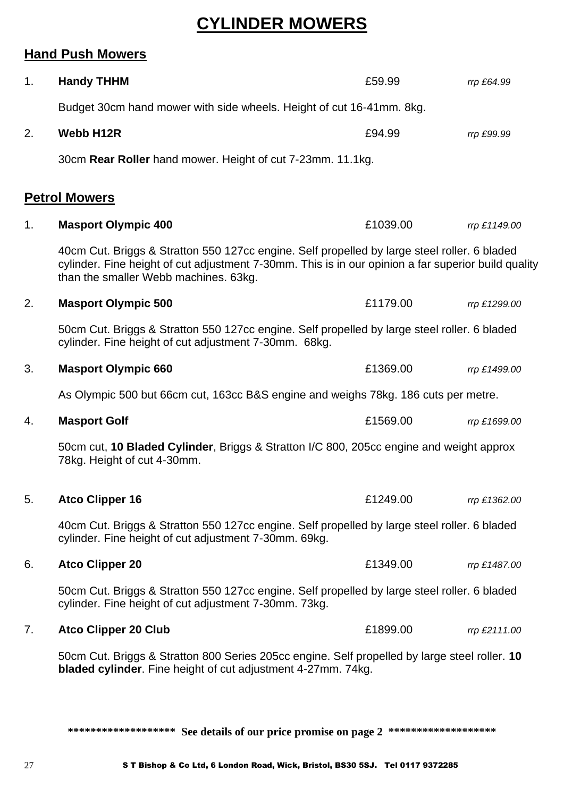## **CYLINDER MOWERS**

## **Hand Push Mowers**

| 1. | <b>Handy THHM</b>                                                                                                                                                                                                                            | £59.99   | rrp £64.99   |  |  |
|----|----------------------------------------------------------------------------------------------------------------------------------------------------------------------------------------------------------------------------------------------|----------|--------------|--|--|
|    | Budget 30cm hand mower with side wheels. Height of cut 16-41mm. 8kg.                                                                                                                                                                         |          |              |  |  |
| 2. | Webb H12R                                                                                                                                                                                                                                    | £94.99   | rrp £99.99   |  |  |
|    | 30cm Rear Roller hand mower. Height of cut 7-23mm. 11.1kg.                                                                                                                                                                                   |          |              |  |  |
|    | <b>Petrol Mowers</b>                                                                                                                                                                                                                         |          |              |  |  |
| 1. | <b>Masport Olympic 400</b>                                                                                                                                                                                                                   | £1039.00 | rrp £1149.00 |  |  |
|    | 40cm Cut. Briggs & Stratton 550 127cc engine. Self propelled by large steel roller. 6 bladed<br>cylinder. Fine height of cut adjustment 7-30mm. This is in our opinion a far superior build quality<br>than the smaller Webb machines. 63kg. |          |              |  |  |
| 2. | <b>Masport Olympic 500</b>                                                                                                                                                                                                                   | £1179.00 | rrp £1299.00 |  |  |
|    | 50cm Cut. Briggs & Stratton 550 127cc engine. Self propelled by large steel roller. 6 bladed<br>cylinder. Fine height of cut adjustment 7-30mm. 68kg.                                                                                        |          |              |  |  |
| 3. | <b>Masport Olympic 660</b>                                                                                                                                                                                                                   | £1369.00 | rrp £1499.00 |  |  |
|    | As Olympic 500 but 66cm cut, 163cc B&S engine and weighs 78kg. 186 cuts per metre.                                                                                                                                                           |          |              |  |  |
| 4. | <b>Masport Golf</b>                                                                                                                                                                                                                          | £1569.00 | rrp £1699.00 |  |  |
|    | 50cm cut, 10 Bladed Cylinder, Briggs & Stratton I/C 800, 205cc engine and weight approx<br>78kg. Height of cut 4-30mm.                                                                                                                       |          |              |  |  |
| 5. | <b>Atco Clipper 16</b>                                                                                                                                                                                                                       | £1249.00 | rrp £1362.00 |  |  |
|    | 40cm Cut. Briggs & Stratton 550 127cc engine. Self propelled by large steel roller. 6 bladed<br>cylinder. Fine height of cut adjustment 7-30mm. 69kg.                                                                                        |          |              |  |  |
| 6. | <b>Atco Clipper 20</b>                                                                                                                                                                                                                       | £1349.00 | rrp £1487.00 |  |  |
|    | 50cm Cut. Briggs & Stratton 550 127cc engine. Self propelled by large steel roller. 6 bladed<br>cylinder. Fine height of cut adjustment 7-30mm. 73kg.                                                                                        |          |              |  |  |
| 7. | <b>Atco Clipper 20 Club</b>                                                                                                                                                                                                                  | £1899.00 | rrp £2111.00 |  |  |
|    | 50cm Cut. Briggs & Stratton 800 Series 205cc engine. Self propelled by large steel roller. 10<br><b>bladed cylinder</b> . Fine height of cut adjustment 4-27mm. 74kg.                                                                        |          |              |  |  |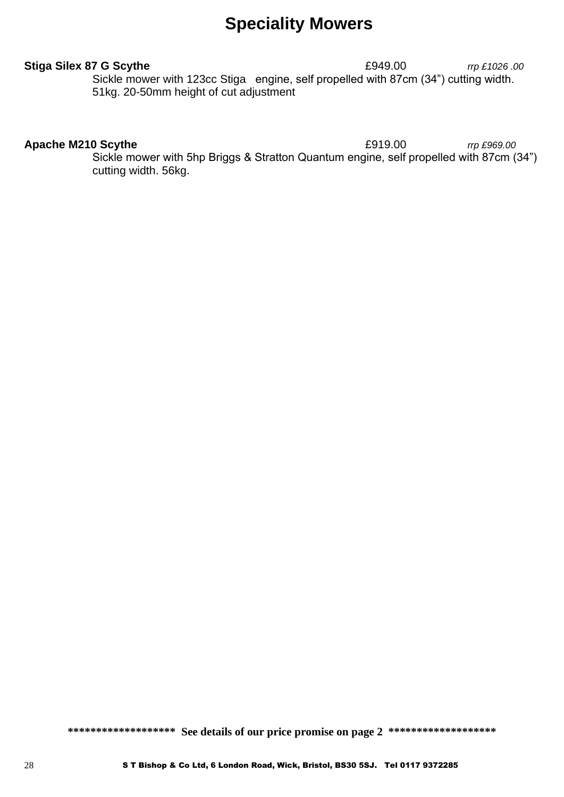## **Speciality Mowers**

**Stiga Silex 87 G Scythe** £949.00 *rrp £1026 .00* Sickle mower with 123cc Stiga engine, self propelled with 87cm (34") cutting width. 51kg. 20-50mm height of cut adjustment

#### **Apache M210 Scythe E919.00** *rrp £969.00*

Sickle mower with 5hp Briggs & Stratton Quantum engine, self propelled with 87cm (34") cutting width. 56kg.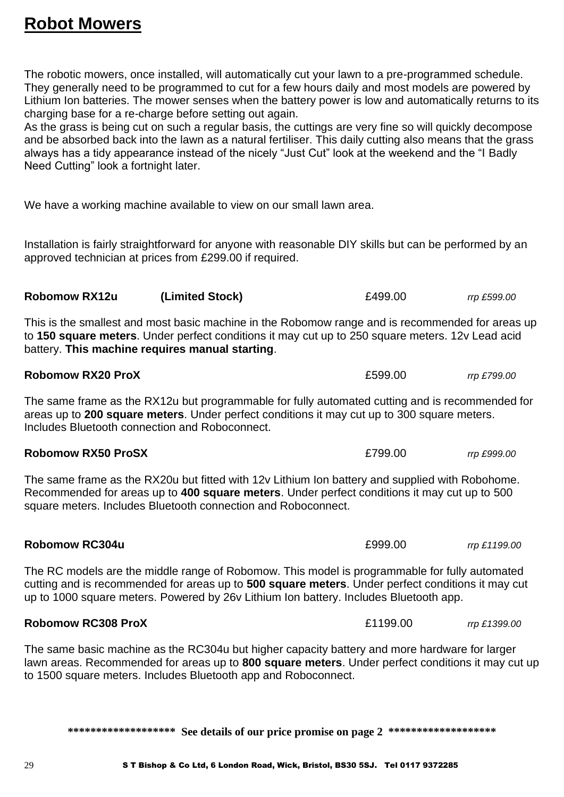## **Robot Mowers**

The robotic mowers, once installed, will automatically cut your lawn to a pre-programmed schedule. They generally need to be programmed to cut for a few hours daily and most models are powered by Lithium Ion batteries. The mower senses when the battery power is low and automatically returns to its charging base for a re-charge before setting out again.

As the grass is being cut on such a regular basis, the cuttings are very fine so will quickly decompose and be absorbed back into the lawn as a natural fertiliser. This daily cutting also means that the grass always has a tidy appearance instead of the nicely "Just Cut" look at the weekend and the "I Badly Need Cutting" look a fortnight later.

We have a working machine available to view on our small lawn area.

Installation is fairly straightforward for anyone with reasonable DIY skills but can be performed by an approved technician at prices from £299.00 if required.

**Robomow RX12u (Limited Stock)** £499.00 *rrp £599.00*

**Robomow RX20 ProX** *CONDUCT 2000**Robomow RX20 ProX**<b>CONDUCT 2000 <i>ROBOMOW RX20 ProX CONDUCT 2000 CONDUCT 2000 CONDUCT 2000 CONDUCT 2000* **<b>***CONDUCT 2000 CONDUCT 2000 CONDUCT 2000* **<b>***CONDUCT 2* 

This is the smallest and most basic machine in the Robomow range and is recommended for areas up to **150 square meters**. Under perfect conditions it may cut up to 250 square meters. 12v Lead acid battery. **This machine requires manual starting**.

The same frame as the RX12u but programmable for fully automated cutting and is recommended for areas up to **200 square meters**. Under perfect conditions it may cut up to 300 square meters. Includes Bluetooth connection and Roboconnect.

The same frame as the RX20u but fitted with 12v Lithium Ion battery and supplied with Robohome. Recommended for areas up to **400 square meters**. Under perfect conditions it may cut up to 500 square meters. Includes Bluetooth connection and Roboconnect.

**Robomow RX50 ProSX** £799.00 *rrp £999.00*

The RC models are the middle range of Robomow. This model is programmable for fully automated cutting and is recommended for areas up to **500 square meters**. Under perfect conditions it may cut up to 1000 square meters. Powered by 26v Lithium Ion battery. Includes Bluetooth app.

**Robomow RC304u** *Robomow RC304u Robomow RC304u* **<b>***Robomow RC304u Robomow RC304u RODO* 

#### **Robomow RC308 ProX** £1199.00 *rrp £1399.00*

The same basic machine as the RC304u but higher capacity battery and more hardware for larger lawn areas. Recommended for areas up to **800 square meters**. Under perfect conditions it may cut up to 1500 square meters. Includes Bluetooth app and Roboconnect.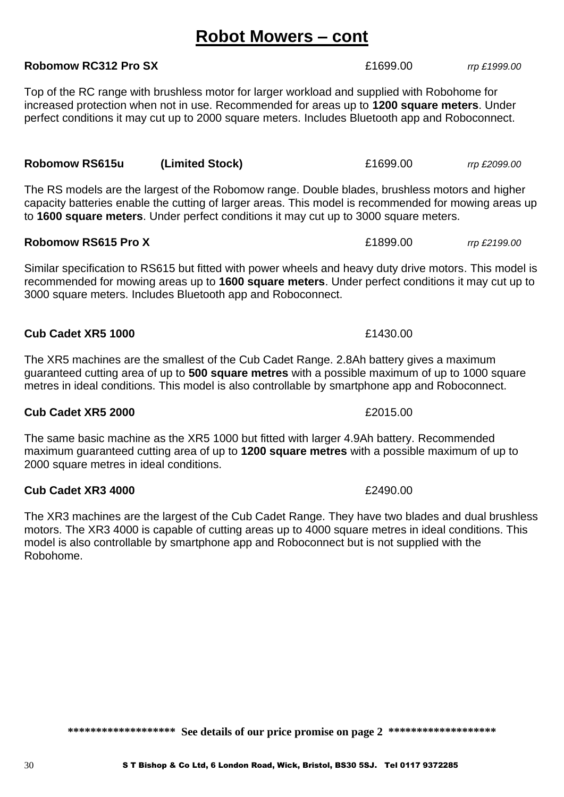## **Robot Mowers – cont**

Top of the RC range with brushless motor for larger workload and supplied with Robohome for increased protection when not in use. Recommended for areas up to **1200 square meters**. Under perfect conditions it may cut up to 2000 square meters. Includes Bluetooth app and Roboconnect.

**Robomow RC312 Pro SX** £1699.00 *rrp £1999.00*

The RS models are the largest of the Robomow range. Double blades, brushless motors and higher capacity batteries enable the cutting of larger areas. This model is recommended for mowing areas up to **1600 square meters**. Under perfect conditions it may cut up to 3000 square meters.

#### **Robomow RS615 Pro X** *E1899.00**rrp £2199.00**rrp £2199.00*

Similar specification to RS615 but fitted with power wheels and heavy duty drive motors. This model is recommended for mowing areas up to **1600 square meters**. Under perfect conditions it may cut up to 3000 square meters. Includes Bluetooth app and Roboconnect.

The XR5 machines are the smallest of the Cub Cadet Range. 2.8Ah battery gives a maximum guaranteed cutting area of up to **500 square metres** with a possible maximum of up to 1000 square metres in ideal conditions. This model is also controllable by smartphone app and Roboconnect.

**Cub Cadet XR5 1000** £1430.00

#### **Cub Cadet XR5 2000 2000 2000 £2015.00 £2015.00**

The same basic machine as the XR5 1000 but fitted with larger 4.9Ah battery. Recommended maximum guaranteed cutting area of up to **1200 square metres** with a possible maximum of up to 2000 square metres in ideal conditions.

#### **Cub Cadet XR3 4000** *E2490.00*

The XR3 machines are the largest of the Cub Cadet Range. They have two blades and dual brushless motors. The XR3 4000 is capable of cutting areas up to 4000 square metres in ideal conditions. This model is also controllable by smartphone app and Roboconnect but is not supplied with the Robohome.

\*\*\*\*\*\*\*\*\*\*\*\*\*\*\*\*\*\*\* See details of our price promise on page 2 \*\*\*\*\*\*\*\*\*\*\*\*\*\*\*\*\*\*

**Robomow RS615u (Limited Stock)** £1699.00 *rrp £2099.00*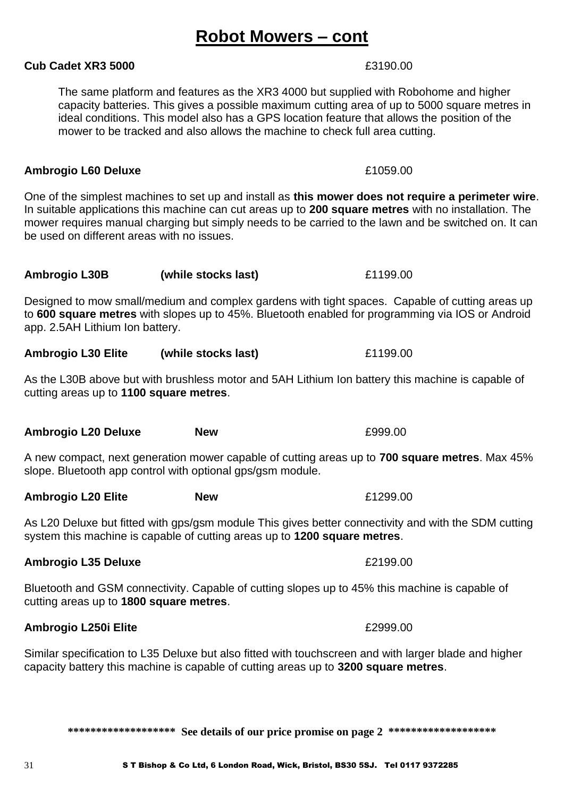## **Robot Mowers – cont**

The same platform and features as the XR3 4000 but supplied with Robohome and higher capacity batteries. This gives a possible maximum cutting area of up to 5000 square metres in ideal conditions. This model also has a GPS location feature that allows the position of the mower to be tracked and also allows the machine to check full area cutting.

#### **Ambrogio L60 Deluxe E1059.00**

One of the simplest machines to set up and install as **this mower does not require a perimeter wire**. In suitable applications this machine can cut areas up to **200 square metres** with no installation. The mower requires manual charging but simply needs to be carried to the lawn and be switched on. It can be used on different areas with no issues.

| Ambrogio L30B | (while stocks last) | £1199.00 |
|---------------|---------------------|----------|
|---------------|---------------------|----------|

Designed to mow small/medium and complex gardens with tight spaces. Capable of cutting areas up to **600 square metres** with slopes up to 45%. Bluetooth enabled for programming via IOS or Android app. 2.5AH Lithium Ion battery.

**Ambrogio L30 Elite (while stocks last)** £1199.00

As the L30B above but with brushless motor and 5AH Lithium Ion battery this machine is capable of cutting areas up to **1100 square metres**.

**Ambrogio L20 Deluxe New** £999.00

A new compact, next generation mower capable of cutting areas up to **700 square metres**. Max 45% slope. Bluetooth app control with optional gps/gsm module.

As L20 Deluxe but fitted with gps/gsm module This gives better connectivity and with the SDM cutting system this machine is capable of cutting areas up to **1200 square metres**.

### **Ambrogio L35 Deluxe E2199.00**

Bluetooth and GSM connectivity. Capable of cutting slopes up to 45% this machine is capable of cutting areas up to **1800 square metres**.

### **Ambrogio L250i Elite 2008 Example 2009.00**

Similar specification to L35 Deluxe but also fitted with touchscreen and with larger blade and higher capacity battery this machine is capable of cutting areas up to **3200 square metres**.

\*\*\*\*\*\*\*\*\*\*\*\*\*\*\*\*\*\*\* See details of our price promise on page 2 \*\*\*\*\*\*\*\*\*\*\*\*\*\*\*\*\*\*

#### **Cub Cadet XR3 5000 E3190.00 £3190.00**

**Ambrogio L20 Elite New** £1299.00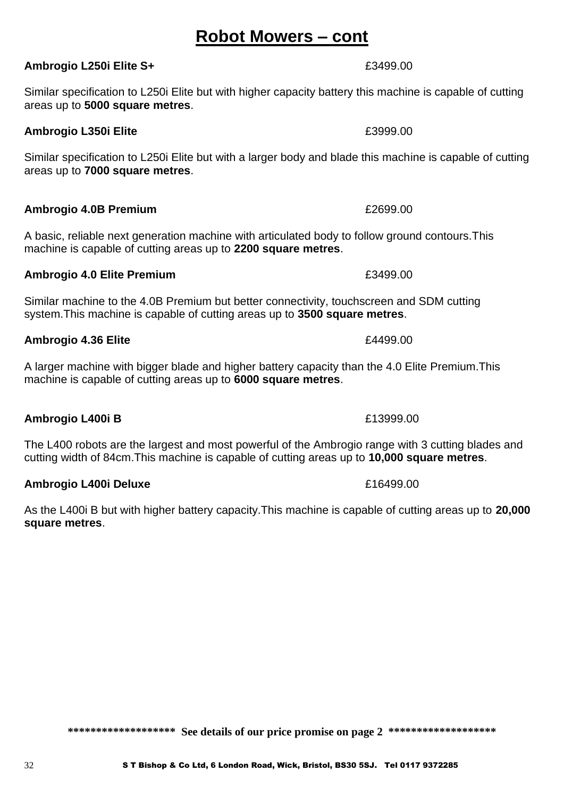## **Robot Mowers – cont**

Similar specification to L250i Elite but with higher capacity battery this machine is capable of cutting areas up to **5000 square metres**.

**Ambrogio L250i Elite S+**  $\qquad 250$ 

### **Ambrogio L350i Elite** £3999.00

Similar specification to L250i Elite but with a larger body and blade this machine is capable of cutting areas up to **7000 square metres**.

#### **Ambrogio 4.0B Premium E2699.00**

A basic, reliable next generation machine with articulated body to follow ground contours.This machine is capable of cutting areas up to **2200 square metres**.

#### **Ambrogio 4.0 Elite Premium E3499.00**

Similar machine to the 4.0B Premium but better connectivity, touchscreen and SDM cutting system.This machine is capable of cutting areas up to **3500 square metres**.

#### **Ambrogio 4.36 Elite Elite Elite E 24499.00**

A larger machine with bigger blade and higher battery capacity than the 4.0 Elite Premium.This machine is capable of cutting areas up to **6000 square metres**.

**Ambrogio L400i B** £13999.00

The L400 robots are the largest and most powerful of the Ambrogio range with 3 cutting blades and cutting width of 84cm.This machine is capable of cutting areas up to **10,000 square metres**.

### **Ambrogio L400i Deluxe 1988 1988 1988 1988 1988 1998 1998 1998 1998**

As the L400i B but with higher battery capacity.This machine is capable of cutting areas up to **20,000 square metres**.